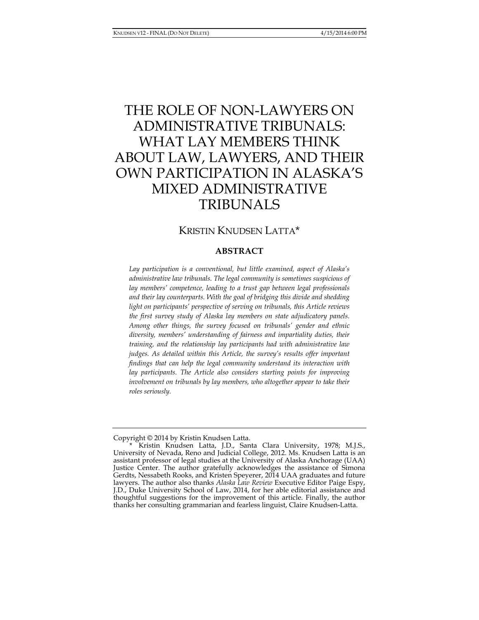# THE ROLE OF NON-LAWYERS ON ADMINISTRATIVE TRIBUNALS: WHAT LAY MEMBERS THINK ABOUT LAW, LAWYERS, AND THEIR OWN PARTICIPATION IN ALASKA'S MIXED ADMINISTRATIVE TRIBUNALS

# KRISTIN KNUDSEN LATTA\*

## **ABSTRACT**

*Lay participation is a conventional, but little examined, aspect of Alaska's administrative law tribunals. The legal community is sometimes suspicious of lay members' competence, leading to a trust gap between legal professionals and their lay counterparts. With the goal of bridging this divide and shedding light on participants' perspective of serving on tribunals, this Article reviews the first survey study of Alaska lay members on state adjudicatory panels. Among other things, the survey focused on tribunals' gender and ethnic diversity, members' understanding of fairness and impartiality duties, their training, and the relationship lay participants had with administrative law judges. As detailed within this Article, the survey's results offer important findings that can help the legal community understand its interaction with lay participants. The Article also considers starting points for improving involvement on tribunals by lay members, who altogether appear to take their roles seriously.* 

Copyright © 2014 by Kristin Knudsen Latta.

 <sup>\*</sup> Kristin Knudsen Latta, J.D., Santa Clara University, 1978; M.J.S., University of Nevada, Reno and Judicial College, 2012. Ms. Knudsen Latta is an assistant professor of legal studies at the University of Alaska Anchorage (UAA) Justice Center. The author gratefully acknowledges the assistance of Simona Gerdts, Nessabeth Rooks, and Kristen Speyerer, 2014 UAA graduates and future lawyers. The author also thanks *Alaska Law Review* Executive Editor Paige Espy, J.D., Duke University School of Law, 2014, for her able editorial assistance and thoughtful suggestions for the improvement of this article. Finally, the author thanks her consulting grammarian and fearless linguist, Claire Knudsen-Latta.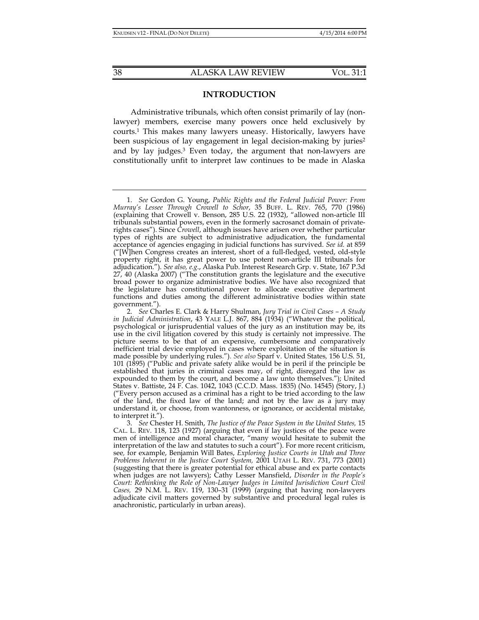## **INTRODUCTION**

Administrative tribunals, which often consist primarily of lay (nonlawyer) members, exercise many powers once held exclusively by courts.1 This makes many lawyers uneasy. Historically, lawyers have been suspicious of lay engagement in legal decision-making by juries<sup>2</sup> and by lay judges.3 Even today, the argument that non-lawyers are constitutionally unfit to interpret law continues to be made in Alaska

 <sup>1.</sup> *See* Gordon G. Young, *Public Rights and the Federal Judicial Power: From Murray's Lessee Through Crowell to Schor*, 35 BUFF. L. REV. 765, 770 (1986) (explaining that Crowell v. Benson, 285 U.S. 22 (1932), "allowed non-article III tribunals substantial powers, even in the formerly sacrosanct domain of privaterights cases"). Since *Crowell*, although issues have arisen over whether particular types of rights are subject to administrative adjudication, the fundamental acceptance of agencies engaging in judicial functions has survived. *See id.* at 859 ("[W]hen Congress creates an interest, short of a full-fledged, vested, old-style property right, it has great power to use potent non-article III tribunals for adjudication."). *See also, e.g*., Alaska Pub. Interest Research Grp. v. State, 167 P.3d 27, 40 (Alaska 2007) ("The constitution grants the legislature and the executive broad power to organize administrative bodies. We have also recognized that the legislature has constitutional power to allocate executive department functions and duties among the different administrative bodies within state government.").

 <sup>2.</sup> *See* Charles E. Clark & Harry Shulman, *Jury Trial in Civil Cases – A Study in Judicial Administration*, 43 YALE L.J. 867, 884 (1934) ("Whatever the political, psychological or jurisprudential values of the jury as an institution may be, its use in the civil litigation covered by this study is certainly not impressive. The picture seems to be that of an expensive, cumbersome and comparatively inefficient trial device employed in cases where exploitation of the situation is made possible by underlying rules."). *See also* Sparf v. United States*,* 156 U.S. 51, 101 (1895) ("Public and private safety alike would be in peril if the principle be established that juries in criminal cases may, of right, disregard the law as expounded to them by the court, and become a law unto themselves."); United States v. Battiste, 24 F. Cas. 1042, 1043 (C.C.D. Mass. 1835) (No. 14545) (Story, J.) ("Every person accused as a criminal has a right to be tried according to the law of the land, the fixed law of the land; and not by the law as a jury may understand it, or choose, from wantonness, or ignorance, or accidental mistake, to interpret it.").

 <sup>3.</sup> *See* Chester H. Smith, *The Justice of the Peace System in the United States,* 15 CAL. L. REV. 118, 123 (1927) (arguing that even if lay justices of the peace were men of intelligence and moral character, "many would hesitate to submit the interpretation of the law and statutes to such a court"). For more recent criticism, see*,* for example, Benjamin Will Bates, *Exploring Justice Courts in Utah and Three Problems Inherent in the Justice Court System,* 2001 UTAH L. REV. 731, 773 (2001) (suggesting that there is greater potential for ethical abuse and ex parte contacts when judges are not lawyers); Cathy Lesser Mansfield, *Disorder in the People's Court: Rethinking the Role of Non-Lawyer Judges in Limited Jurisdiction Court Civil Cases,* 29 N.M. L. REV. 119, 130–31 (1999) (arguing that having non-lawyers adjudicate civil matters governed by substantive and procedural legal rules is anachronistic, particularly in urban areas).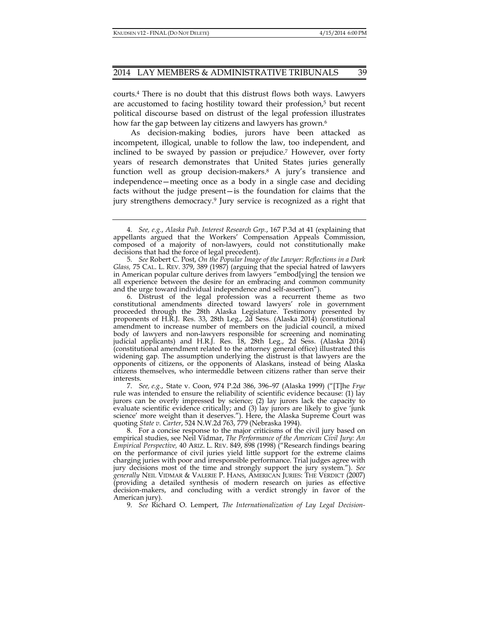courts.4 There is no doubt that this distrust flows both ways. Lawyers are accustomed to facing hostility toward their profession,5 but recent political discourse based on distrust of the legal profession illustrates how far the gap between lay citizens and lawyers has grown.<sup>6</sup>

As decision-making bodies, jurors have been attacked as incompetent, illogical, unable to follow the law, too independent, and inclined to be swayed by passion or prejudice.7 However, over forty years of research demonstrates that United States juries generally function well as group decision-makers.<sup>8</sup> A jury's transience and independence—meeting once as a body in a single case and deciding facts without the judge present—is the foundation for claims that the jury strengthens democracy.<sup>9</sup> Jury service is recognized as a right that

 6. Distrust of the legal profession was a recurrent theme as two constitutional amendments directed toward lawyers' role in government proceeded through the 28th Alaska Legislature. Testimony presented by proponents of H.R.J. Res. 33, 28th Leg., 2d Sess. (Alaska 2014) (constitutional amendment to increase number of members on the judicial council, a mixed body of lawyers and non-lawyers responsible for screening and nominating judicial applicants) and H.R.J. Res. 18, 28th Leg., 2d Sess. (Alaska 2014) (constitutional amendment related to the attorney general office) illustrated this widening gap. The assumption underlying the distrust is that lawyers are the opponents of citizens, or the opponents of Alaskans, instead of being Alaska citizens themselves, who intermeddle between citizens rather than serve their interests.

 7. *See, e.g.*, State v. Coon, 974 P.2d 386, 396–97 (Alaska 1999) ("[T]he *Frye* rule was intended to ensure the reliability of scientific evidence because: (1) lay jurors can be overly impressed by science; (2) lay jurors lack the capacity to evaluate scientific evidence critically; and (3) lay jurors are likely to give 'junk science' more weight than it deserves."). Here, the Alaska Supreme Court was quoting *State v. Carter*, 524 N.W.2d 763, 779 (Nebraska 1994).

 8. For a concise response to the major criticisms of the civil jury based on empirical studies, see Neil Vidmar, *The Performance of the American Civil Jury: An Empirical Perspective,* 40 ARIZ. L. REV. 849, 898 (1998) ("Research findings bearing on the performance of civil juries yield little support for the extreme claims charging juries with poor and irresponsible performance. Trial judges agree with jury decisions most of the time and strongly support the jury system."). *See generally* NEIL VIDMAR & VALERIE P. HANS, AMERICAN JURIES: THE VERDICT (2007) (providing a detailed synthesis of modern research on juries as effective decision-makers, and concluding with a verdict strongly in favor of the American jury).

9. *See* Richard O. Lempert, *The Internationalization of Lay Legal Decision-*

 <sup>4.</sup> *See, e.g.*, *Alaska Pub. Interest Research Grp.*, 167 P.3d at 41 (explaining that appellants argued that the Workers' Compensation Appeals Commission, composed of a majority of non-lawyers, could not constitutionally make decisions that had the force of legal precedent).

 <sup>5.</sup> *See* Robert C. Post, *On the Popular Image of the Lawyer: Reflections in a Dark Glass,* 75 CAL. L. REV. 379, 389 (1987) (arguing that the special hatred of lawyers in American popular culture derives from lawyers "embod[ying] the tension we all experience between the desire for an embracing and common community and the urge toward individual independence and self-assertion").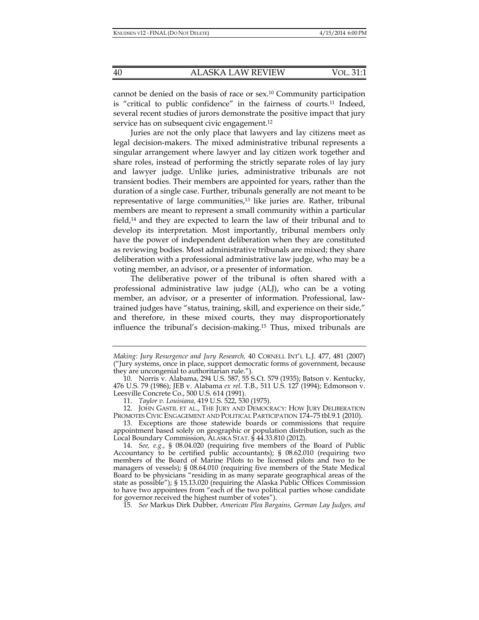cannot be denied on the basis of race or sex.10 Community participation is "critical to public confidence" in the fairness of courts.11 Indeed, several recent studies of jurors demonstrate the positive impact that jury service has on subsequent civic engagement.<sup>12</sup>

Juries are not the only place that lawyers and lay citizens meet as legal decision-makers. The mixed administrative tribunal represents a singular arrangement where lawyer and lay citizen work together and share roles, instead of performing the strictly separate roles of lay jury and lawyer judge. Unlike juries, administrative tribunals are not transient bodies. Their members are appointed for years, rather than the duration of a single case. Further, tribunals generally are not meant to be representative of large communities,<sup>13</sup> like juries are. Rather, tribunal members are meant to represent a small community within a particular field,14 and they are expected to learn the law of their tribunal and to develop its interpretation. Most importantly, tribunal members only have the power of independent deliberation when they are constituted as reviewing bodies. Most administrative tribunals are mixed; they share deliberation with a professional administrative law judge, who may be a voting member, an advisor, or a presenter of information.

The deliberative power of the tribunal is often shared with a professional administrative law judge (ALJ), who can be a voting member, an advisor, or a presenter of information. Professional, lawtrained judges have "status, training, skill, and experience on their side," and therefore, in these mixed courts, they may disproportionately influence the tribunal's decision-making.15 Thus, mixed tribunals are

 12. JOHN GASTIL ET AL., THE JURY AND DEMOCRACY: HOW JURY DELIBERATION PROMOTES CIVIC ENGAGEMENT AND POLITICAL PARTICIPATION 174-75 tbl.9.1 (2010).

 14. *See, e.g.*, § 08.04.020 (requiring five members of the Board of Public Accountancy to be certified public accountants); § 08.62.010 (requiring two members of the Board of Marine Pilots to be licensed pilots and two to be managers of vessels); § 08.64.010 (requiring five members of the State Medical Board to be physicians "residing in as many separate geographical areas of the state as possible"); § 15.13.020 (requiring the Alaska Public Offices Commission to have two appointees from "each of the two political parties whose candidate for governor received the highest number of votes").

15. *See* Markus Dirk Dubber, *American Plea Bargains, German Lay Judges, and* 

*Making: Jury Resurgence and Jury Research,* 40 CORNELL INT'L L.J. 477, 481 (2007) ("Jury systems, once in place, support democratic forms of government, because they are uncongenial to authoritarian rule.").

 <sup>10.</sup> Norris v. Alabama, 294 U.S. 587, 55 S.Ct. 579 (1935); Batson v. Kentucky, 476 U.S. 79 (1986); JEB v. Alabama *ex rel.* T.B., 511 U.S. 127 (1994); Edmonson v. Leesville Concrete Co., 500 U.S. 614 (1991).

 <sup>11.</sup> *Taylor v. Louisiana,* 419 U.S. 522, 530 (1975).

 <sup>13.</sup> Exceptions are those statewide boards or commissions that require appointment based solely on geographic or population distribution, such as the Local Boundary Commission, ALASKA STAT. § 44.33.810 (2012).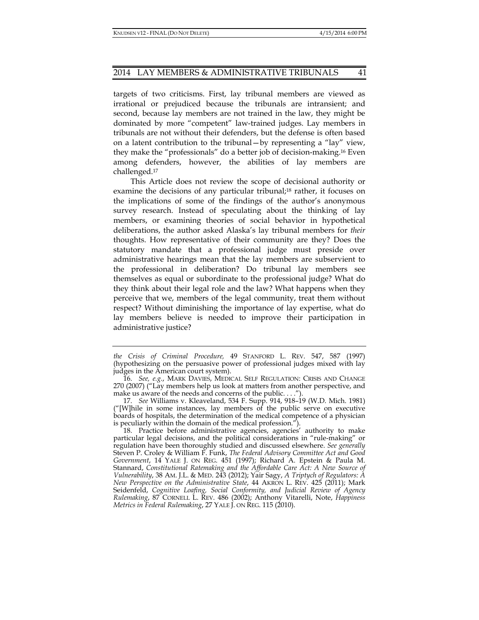targets of two criticisms. First, lay tribunal members are viewed as irrational or prejudiced because the tribunals are intransient; and second, because lay members are not trained in the law, they might be dominated by more "competent" law-trained judges. Lay members in tribunals are not without their defenders, but the defense is often based on a latent contribution to the tribunal—by representing a "lay" view, they make the "professionals" do a better job of decision-making.16 Even among defenders, however, the abilities of lay members are challenged.17

This Article does not review the scope of decisional authority or examine the decisions of any particular tribunal;<sup>18</sup> rather, it focuses on the implications of some of the findings of the author's anonymous survey research. Instead of speculating about the thinking of lay members, or examining theories of social behavior in hypothetical deliberations, the author asked Alaska's lay tribunal members for *their*  thoughts. How representative of their community are they? Does the statutory mandate that a professional judge must preside over administrative hearings mean that the lay members are subservient to the professional in deliberation? Do tribunal lay members see themselves as equal or subordinate to the professional judge? What do they think about their legal role and the law? What happens when they perceive that we, members of the legal community, treat them without respect? Without diminishing the importance of lay expertise, what do lay members believe is needed to improve their participation in administrative justice?

*the Crisis of Criminal Procedure,* 49 STANFORD L. REV. 547, 587 (1997) (hypothesizing on the persuasive power of professional judges mixed with lay judges in the American court system).

 <sup>16.</sup> *See, e.g.*, MARK DAVIES, MEDICAL SELF REGULATION: CRISIS AND CHANGE 270 (2007) ("Lay members help us look at matters from another perspective, and make us aware of the needs and concerns of the public. . . .").

 <sup>17.</sup> *See* Williams v. Kleaveland, 534 F. Supp. 914, 918–19 (W.D. Mich. 1981) ("[W]hile in some instances, lay members of the public serve on executive boards of hospitals, the determination of the medical competence of a physician is peculiarly within the domain of the medical profession.").

 <sup>18.</sup> Practice before administrative agencies, agencies' authority to make particular legal decisions, and the political considerations in "rule-making" or regulation have been thoroughly studied and discussed elsewhere. *See generally* Steven P. Croley & William F. Funk, *The Federal Advisory Committee Act and Good Government*, 14 YALE J. ON REG. 451 (1997); Richard A. Epstein & Paula M. Stannard, *Constitutional Ratemaking and the Affordable Care Act: A New Source of Vulnerability*, 38 AM. J.L. & MED. 243 (2012); Yair Sagy, *A Triptych of Regulators: A New Perspective on the Administrative State*, 44 AKRON L. REV. 425 (2011); Mark Seidenfeld, *Cognitive Loafing, Social Conformity, and Judicial Review of Agency Rulemaking*, 87 CORNELL L. REV. 486 (2002); Anthony Vitarelli, Note, *Happiness Metrics in Federal Rulemaking*, 27 YALE *J*. ON REG. 115 (2010).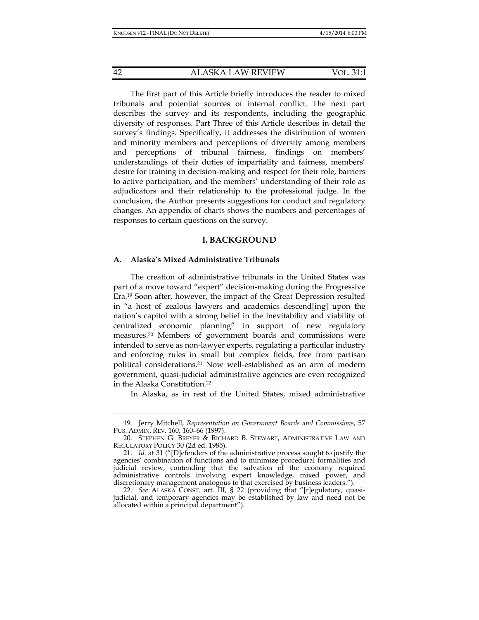The first part of this Article briefly introduces the reader to mixed tribunals and potential sources of internal conflict. The next part describes the survey and its respondents, including the geographic diversity of responses. Part Three of this Article describes in detail the survey's findings. Specifically, it addresses the distribution of women and minority members and perceptions of diversity among members and perceptions of tribunal fairness, findings on members' understandings of their duties of impartiality and fairness, members' desire for training in decision-making and respect for their role, barriers to active participation, and the members' understanding of their role as adjudicators and their relationship to the professional judge. In the conclusion, the Author presents suggestions for conduct and regulatory changes. An appendix of charts shows the numbers and percentages of responses to certain questions on the survey.

## **I. BACKGROUND**

## **A. Alaska's Mixed Administrative Tribunals**

The creation of administrative tribunals in the United States was part of a move toward "expert" decision-making during the Progressive Era.19 Soon after, however, the impact of the Great Depression resulted in "a host of zealous lawyers and academics descend[ing] upon the nation's capitol with a strong belief in the inevitability and viability of centralized economic planning" in support of new regulatory measures.20 Members of government boards and commissions were intended to serve as non-lawyer experts, regulating a particular industry and enforcing rules in small but complex fields, free from partisan political considerations.21 Now well-established as an arm of modern government, quasi-judicial administrative agencies are even recognized in the Alaska Constitution.22

In Alaska, as in rest of the United States, mixed administrative

 <sup>19.</sup> Jerry Mitchell, *Representation on Government Boards and Commissions*, 57 PUB. ADMIN. REV. 160, 160–66 (1997).

<sup>20.</sup> STEPHEN G. BREYER  $\&$  RICHARD B. STEWART, ADMINISTRATIVE LAW AND REGULATORY POLICY 30 (2d ed. 1985).

 <sup>21.</sup> *Id.* at 31 ("[D]efenders of the administrative process sought to justify the agencies' combination of functions and to minimize procedural formalities and judicial review, contending that the salvation of the economy required administrative controls involving expert knowledge, mixed power, and discretionary management analogous to that exercised by business leaders.").

 <sup>22.</sup> *See* ALASKA CONST. art. III, § 22 (providing that "[r]egulatory, quasijudicial, and temporary agencies may be established by law and need not be allocated within a principal department").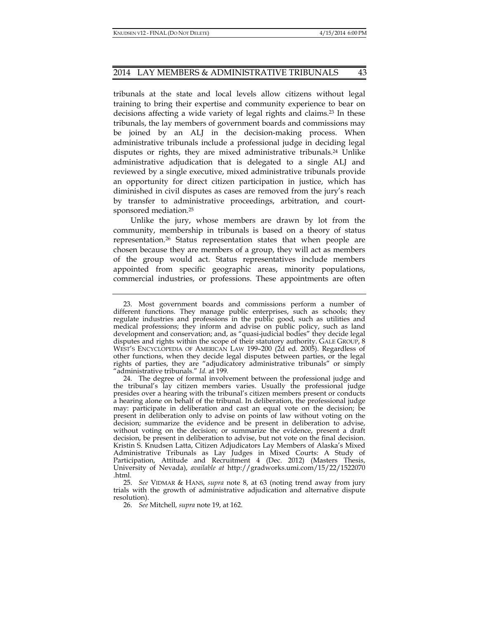tribunals at the state and local levels allow citizens without legal training to bring their expertise and community experience to bear on decisions affecting a wide variety of legal rights and claims.23 In these tribunals, the lay members of government boards and commissions may be joined by an ALJ in the decision-making process. When administrative tribunals include a professional judge in deciding legal disputes or rights, they are mixed administrative tribunals.24 Unlike administrative adjudication that is delegated to a single ALJ and reviewed by a single executive, mixed administrative tribunals provide an opportunity for direct citizen participation in justice, which has diminished in civil disputes as cases are removed from the jury's reach by transfer to administrative proceedings, arbitration, and courtsponsored mediation.25

Unlike the jury, whose members are drawn by lot from the community, membership in tribunals is based on a theory of status representation.26 Status representation states that when people are chosen because they are members of a group, they will act as members of the group would act. Status representatives include members appointed from specific geographic areas, minority populations, commercial industries, or professions. These appointments are often

 <sup>23.</sup> Most government boards and commissions perform a number of different functions. They manage public enterprises, such as schools; they regulate industries and professions in the public good, such as utilities and medical professions; they inform and advise on public policy, such as land development and conservation; and, as "quasi-judicial bodies" they decide legal disputes and rights within the scope of their statutory authority. GALE GROUP, 8 WEST'S ENCYCLOPEDIA OF AMERICAN LAW 199–200 (2d ed. 2005). Regardless of other functions, when they decide legal disputes between parties, or the legal rights of parties, they are "adjudicatory administrative tribunals" or simply "administrative tribunals." *Id.* at 199.

 <sup>24.</sup> The degree of formal involvement between the professional judge and the tribunal's lay citizen members varies. Usually the professional judge presides over a hearing with the tribunal's citizen members present or conducts a hearing alone on behalf of the tribunal. In deliberation, the professional judge may: participate in deliberation and cast an equal vote on the decision; be present in deliberation only to advise on points of law without voting on the decision; summarize the evidence and be present in deliberation to advise, without voting on the decision; or summarize the evidence, present a draft decision, be present in deliberation to advise, but not vote on the final decision. Kristin S. Knudsen Latta, Citizen Adjudicators Lay Members of Alaska's Mixed Administrative Tribunals as Lay Judges in Mixed Courts: A Study of Participation, Attitude and Recruitment 4 (Dec. 2012) (Masters Thesis, University of Nevada), *available at* http://gradworks.umi.com/15/22/1522070 .html.

 <sup>25.</sup> *See* VIDMAR & HANS, *supra* note 8, at 63 (noting trend away from jury trials with the growth of administrative adjudication and alternative dispute resolution).

 <sup>26.</sup> *See* Mitchell*, supra* note 19, at 162.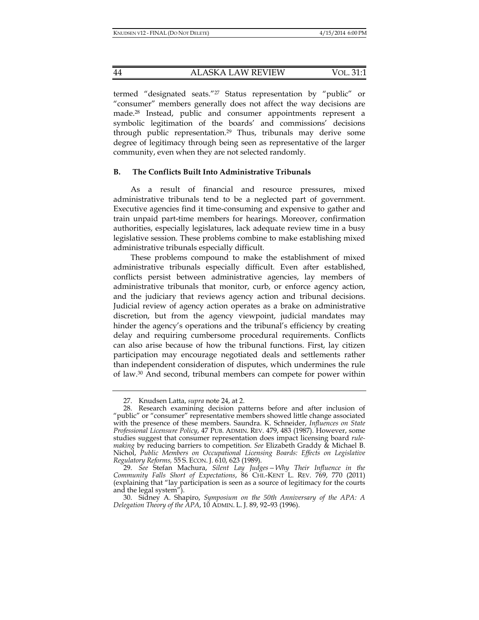termed "designated seats."27 Status representation by "public" or "consumer" members generally does not affect the way decisions are made.28 Instead, public and consumer appointments represent a symbolic legitimation of the boards' and commissions' decisions through public representation.29 Thus, tribunals may derive some degree of legitimacy through being seen as representative of the larger community, even when they are not selected randomly.

## **B. The Conflicts Built Into Administrative Tribunals**

As a result of financial and resource pressures, mixed administrative tribunals tend to be a neglected part of government. Executive agencies find it time-consuming and expensive to gather and train unpaid part-time members for hearings. Moreover, confirmation authorities, especially legislatures, lack adequate review time in a busy legislative session. These problems combine to make establishing mixed administrative tribunals especially difficult.

These problems compound to make the establishment of mixed administrative tribunals especially difficult. Even after established, conflicts persist between administrative agencies, lay members of administrative tribunals that monitor, curb, or enforce agency action, and the judiciary that reviews agency action and tribunal decisions. Judicial review of agency action operates as a brake on administrative discretion, but from the agency viewpoint, judicial mandates may hinder the agency's operations and the tribunal's efficiency by creating delay and requiring cumbersome procedural requirements. Conflicts can also arise because of how the tribunal functions. First, lay citizen participation may encourage negotiated deals and settlements rather than independent consideration of disputes, which undermines the rule of law.30 And second, tribunal members can compete for power within

 <sup>27.</sup> Knudsen Latta, *supra* note 24, at 2.

 <sup>28.</sup> Research examining decision patterns before and after inclusion of "public" or "consumer" representative members showed little change associated with the presence of these members. Saundra. K. Schneider, *Influences on State Professional Licensure Policy*, 47 PUB. ADMIN. REV. 479, 483 (1987). However, some studies suggest that consumer representation does impact licensing board *rulemaking* by reducing barriers to competition. *See* Elizabeth Graddy & Michael B. Nichol, *Public Members on Occupational Licensing Boards: Effects on Legislative Regulatory Reforms,* 55 S. ECON. J. 610, 623 (1989).

 <sup>29.</sup> *See* Stefan Machura, *Silent Lay Judges—Why Their Influence in the Community Falls Short of Expectations*, 86 CHI.-KENT L. REV. 769, 770 (2011) (explaining that "lay participation is seen as a source of legitimacy for the courts and the legal system").

 <sup>30.</sup> Sidney A. Shapiro, *Symposium on the 50th Anniversary of the APA: A Delegation Theory of the APA*, 10 ADMIN. L. J. 89, 92–93 (1996).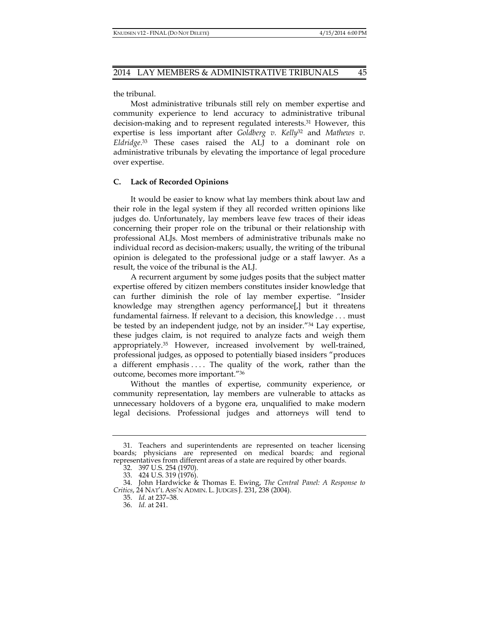the tribunal.

Most administrative tribunals still rely on member expertise and community experience to lend accuracy to administrative tribunal decision-making and to represent regulated interests.31 However, this expertise is less important after *Goldberg v. Kelly*32 and *Mathews v. Eldridge*. 33 These cases raised the ALJ to a dominant role on administrative tribunals by elevating the importance of legal procedure over expertise.

## **C. Lack of Recorded Opinions**

It would be easier to know what lay members think about law and their role in the legal system if they all recorded written opinions like judges do. Unfortunately, lay members leave few traces of their ideas concerning their proper role on the tribunal or their relationship with professional ALJs. Most members of administrative tribunals make no individual record as decision-makers; usually, the writing of the tribunal opinion is delegated to the professional judge or a staff lawyer. As a result, the voice of the tribunal is the ALJ.

A recurrent argument by some judges posits that the subject matter expertise offered by citizen members constitutes insider knowledge that can further diminish the role of lay member expertise. "Insider knowledge may strengthen agency performance[,] but it threatens fundamental fairness. If relevant to a decision, this knowledge . . . must be tested by an independent judge, not by an insider."34 Lay expertise, these judges claim, is not required to analyze facts and weigh them appropriately.35 However, increased involvement by well-trained, professional judges, as opposed to potentially biased insiders "produces a different emphasis .... The quality of the work, rather than the outcome, becomes more important."36

Without the mantles of expertise, community experience, or community representation, lay members are vulnerable to attacks as unnecessary holdovers of a bygone era, unqualified to make modern legal decisions. Professional judges and attorneys will tend to

 <sup>31.</sup> Teachers and superintendents are represented on teacher licensing boards; physicians are represented on medical boards; and regional representatives from different areas of a state are required by other boards.

 <sup>32. 397</sup> U.S. 254 (1970).

 <sup>33. 424</sup> U.S. 319 (1976).

 <sup>34.</sup> John Hardwicke & Thomas E. Ewing, *The Central Panel: A Response to Critics*, 24 NAT'L ASS'N ADMIN. L. JUDGES J. 231, 238 (2004).

 <sup>35.</sup> *Id*. at 237–38.

 <sup>36.</sup> *Id.* at 241.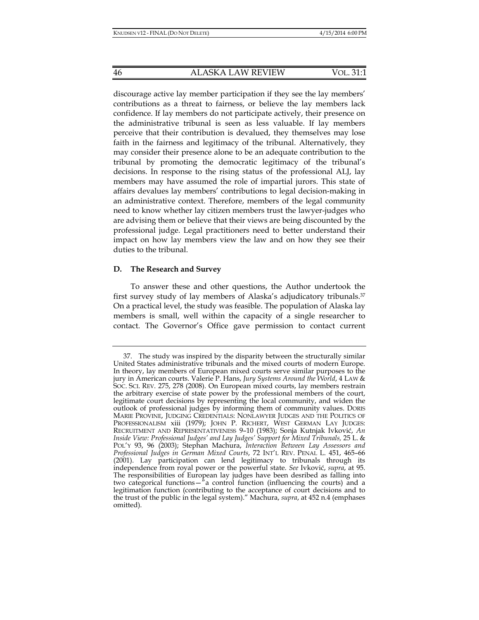discourage active lay member participation if they see the lay members' contributions as a threat to fairness, or believe the lay members lack confidence. If lay members do not participate actively, their presence on the administrative tribunal is seen as less valuable. If lay members perceive that their contribution is devalued, they themselves may lose faith in the fairness and legitimacy of the tribunal. Alternatively, they may consider their presence alone to be an adequate contribution to the tribunal by promoting the democratic legitimacy of the tribunal's decisions. In response to the rising status of the professional ALJ, lay members may have assumed the role of impartial jurors. This state of affairs devalues lay members' contributions to legal decision-making in an administrative context. Therefore, members of the legal community need to know whether lay citizen members trust the lawyer-judges who are advising them or believe that their views are being discounted by the professional judge. Legal practitioners need to better understand their impact on how lay members view the law and on how they see their duties to the tribunal.

## **D. The Research and Survey**

To answer these and other questions, the Author undertook the first survey study of lay members of Alaska's adjudicatory tribunals.37 On a practical level, the study was feasible. The population of Alaska lay members is small, well within the capacity of a single researcher to contact. The Governor's Office gave permission to contact current

 <sup>37.</sup> The study was inspired by the disparity between the structurally similar United States administrative tribunals and the mixed courts of modern Europe. In theory, lay members of European mixed courts serve similar purposes to the jury in American courts. Valerie P. Hans, *Jury Systems Around the World*, 4 LAW & SOC. SCI. REV. 275, 278 (2008). On European mixed courts, lay members restrain the arbitrary exercise of state power by the professional members of the court, legitimate court decisions by representing the local community, and widen the outlook of professional judges by informing them of community values. DORIS MARIE PROVINE, JUDGING CREDENTIALS: NONLAWYER JUDGES AND THE POLITICS OF PROFESSIONALISM xiii (1979); JOHN P. RICHERT, WEST GERMAN LAY JUDGES: RECRUITMENT AND REPRESENTATIVENESS 9–10 (1983); Sonja Kutnjak Ivković, *An Inside View: Professional Judges' and Lay Judges' Support for Mixed Tribunals,* 25 L. & POL'Y 93, 96 (2003); Stephan Machura, *Interaction Between Lay Assessors and Professional Judges in German Mixed Courts*, 72 INT'L REV. PENAL L. 451, 465–66 (2001). Lay participation can lend legitimacy to tribunals through its independence from royal power or the powerful state. *See* Ivković, *supra*, at 95. The responsibilities of European lay judges have been desribed as falling into two categorical functions—"a control function (influencing the courts) and a legitimation function (contributing to the acceptance of court decisions and to the trust of the public in the legal system)." Machura, *supra*, at 452 n.4 (emphases omitted).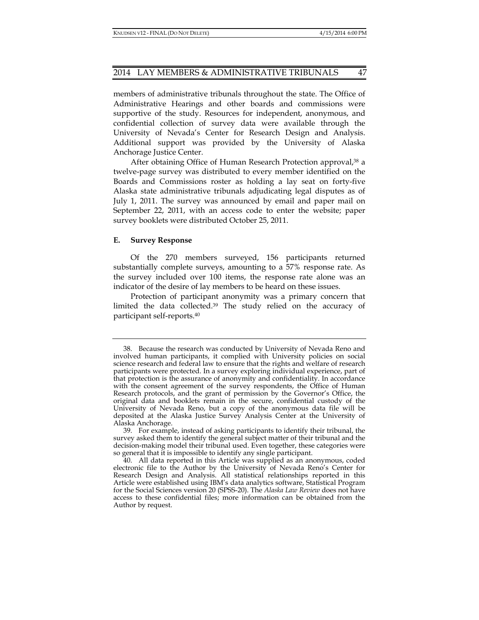members of administrative tribunals throughout the state. The Office of Administrative Hearings and other boards and commissions were supportive of the study. Resources for independent, anonymous, and confidential collection of survey data were available through the University of Nevada's Center for Research Design and Analysis. Additional support was provided by the University of Alaska Anchorage Justice Center.

After obtaining Office of Human Research Protection approval,<sup>38</sup> a twelve-page survey was distributed to every member identified on the Boards and Commissions roster as holding a lay seat on forty-five Alaska state administrative tribunals adjudicating legal disputes as of July 1, 2011. The survey was announced by email and paper mail on September 22, 2011, with an access code to enter the website; paper survey booklets were distributed October 25, 2011.

## **E. Survey Response**

Of the 270 members surveyed, 156 participants returned substantially complete surveys, amounting to a 57% response rate. As the survey included over 100 items, the response rate alone was an indicator of the desire of lay members to be heard on these issues.

Protection of participant anonymity was a primary concern that limited the data collected.39 The study relied on the accuracy of participant self-reports.40

 <sup>38.</sup> Because the research was conducted by University of Nevada Reno and involved human participants, it complied with University policies on social science research and federal law to ensure that the rights and welfare of research participants were protected. In a survey exploring individual experience, part of that protection is the assurance of anonymity and confidentiality. In accordance with the consent agreement of the survey respondents, the Office of Human Research protocols, and the grant of permission by the Governor's Office, the original data and booklets remain in the secure, confidential custody of the University of Nevada Reno, but a copy of the anonymous data file will be deposited at the Alaska Justice Survey Analysis Center at the University of Alaska Anchorage.

 <sup>39.</sup> For example, instead of asking participants to identify their tribunal, the survey asked them to identify the general subject matter of their tribunal and the decision-making model their tribunal used. Even together, these categories were so general that it is impossible to identify any single participant.

 <sup>40.</sup> All data reported in this Article was supplied as an anonymous, coded electronic file to the Author by the University of Nevada Reno's Center for Research Design and Analysis. All statistical relationships reported in this Article were established using IBM's data analytics software, Statistical Program for the Social Sciences version 20 (SPSS-20). The *Alaska Law Review* does not have access to these confidential files; more information can be obtained from the Author by request.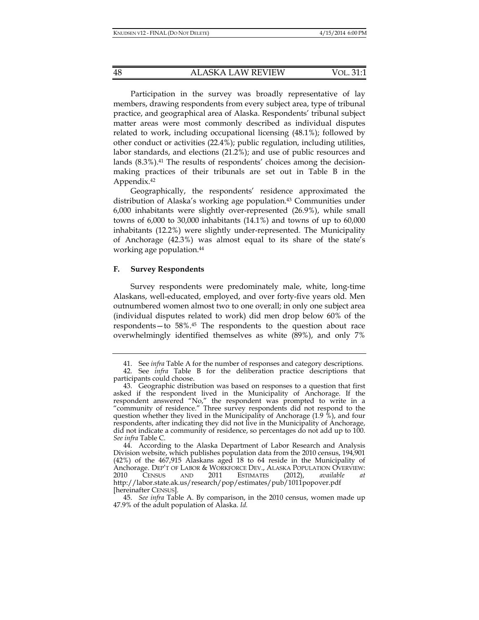Participation in the survey was broadly representative of lay members, drawing respondents from every subject area, type of tribunal practice, and geographical area of Alaska. Respondents' tribunal subject matter areas were most commonly described as individual disputes related to work, including occupational licensing (48.1%); followed by other conduct or activities (22.4%); public regulation, including utilities, labor standards, and elections (21.2%); and use of public resources and lands (8.3%).41 The results of respondents' choices among the decisionmaking practices of their tribunals are set out in Table B in the Appendix.42

Geographically, the respondents' residence approximated the distribution of Alaska's working age population.43 Communities under 6,000 inhabitants were slightly over-represented (26.9%), while small towns of 6,000 to 30,000 inhabitants (14.1%) and towns of up to 60,000 inhabitants (12.2%) were slightly under-represented. The Municipality of Anchorage (42.3%) was almost equal to its share of the state's working age population.44

## **F. Survey Respondents**

Survey respondents were predominately male, white, long-time Alaskans, well-educated, employed, and over forty-five years old. Men outnumbered women almost two to one overall; in only one subject area (individual disputes related to work) did men drop below 60% of the respondents—to 58%.45 The respondents to the question about race overwhelmingly identified themselves as white (89%), and only 7%

 <sup>41.</sup> See *infra* Table A for the number of responses and category descriptions.

 <sup>42.</sup> See *infra* Table B for the deliberation practice descriptions that participants could choose.

 <sup>43.</sup> Geographic distribution was based on responses to a question that first asked if the respondent lived in the Municipality of Anchorage. If the respondent answered "No," the respondent was prompted to write in a "community of residence." Three survey respondents did not respond to the question whether they lived in the Municipality of Anchorage (1.9 %), and four respondents, after indicating they did not live in the Municipality of Anchorage, did not indicate a community of residence, so percentages do not add up to 100. *See infra* Table C.

 <sup>44.</sup> According to the Alaska Department of Labor Research and Analysis Division website, which publishes population data from the 2010 census, 194,901 (42%) of the 467,915 Alaskans aged 18 to 64 reside in the Municipality of Anchorage. DEP'T OF LABOR & WORKFORCE DEV., ALASKA POPULATION OVERVIEW: 2010 CENSUS AND 2011 ESTIMATES (2012), *available at* http://labor.state.ak.us/research/pop/estimates/pub/1011popover.pdf [hereinafter CENSUS].

 <sup>45.</sup> *See infra* Table A. By comparison, in the 2010 census, women made up 47.9% of the adult population of Alaska. *Id.*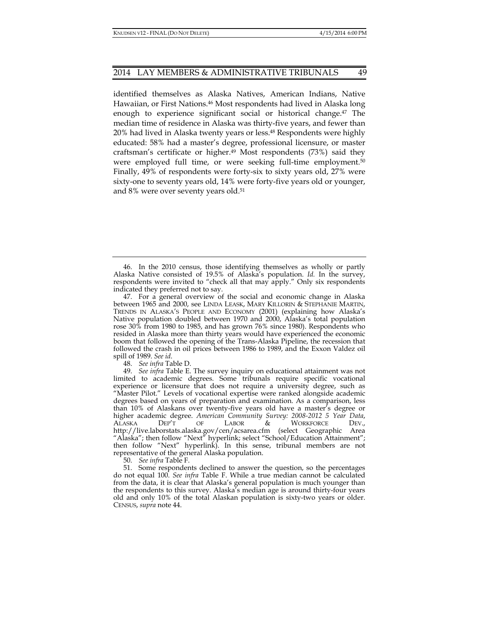identified themselves as Alaska Natives, American Indians, Native Hawaiian, or First Nations.46 Most respondents had lived in Alaska long enough to experience significant social or historical change.47 The median time of residence in Alaska was thirty-five years, and fewer than 20% had lived in Alaska twenty years or less.48 Respondents were highly educated: 58% had a master's degree, professional licensure, or master craftsman's certificate or higher.<sup>49</sup> Most respondents (73%) said they were employed full time, or were seeking full-time employment.50 Finally, 49% of respondents were forty-six to sixty years old, 27% were sixty-one to seventy years old, 14% were forty-five years old or younger, and 8% were over seventy years old.51

 46. In the 2010 census, those identifying themselves as wholly or partly Alaska Native consisted of 19.5% of Alaska's population. *Id.* In the survey, respondents were invited to "check all that may apply." Only six respondents indicated they preferred not to say.

 47. For a general overview of the social and economic change in Alaska between 1965 and 2000, see LINDA LEASK, MARY KILLORIN & STEPHANIE MARTIN, TRENDS IN ALASKA'S PEOPLE AND ECONOMY (2001) (explaining how Alaska's Native population doubled between 1970 and 2000, Alaska's total population rose 30% from 1980 to 1985, and has grown 76% since 1980). Respondents who resided in Alaska more than thirty years would have experienced the economic boom that followed the opening of the Trans-Alaska Pipeline, the recession that followed the crash in oil prices between 1986 to 1989, and the Exxon Valdez oil spill of 1989. *See id*.

48. *See infra* Table D.

 49. *See infra* Table E. The survey inquiry on educational attainment was not limited to academic degrees. Some tribunals require specific vocational experience or licensure that does not require a university degree, such as "Master Pilot." Levels of vocational expertise were ranked alongside academic degrees based on years of preparation and examination. As a comparison, less than 10% of Alaskans over twenty-five years old have a master's degree or higher academic degree. *American Community Survey: 2008-2012 5 Year Data*, ALASKA DEP'T OF LABOR & WORKFORCE DEV., http://live.laborstats.alaska.gov/cen/acsarea.cfm (select Geographic Area "Alaska"; then follow "Next" hyperlink; select "School/Education Attainment"; then follow "Next" hyperlink). In this sense, tribunal members are not representative of the general Alaska population.

50. *See infra* Table F.

 51. Some respondents declined to answer the question, so the percentages do not equal 100. *See infra* Table F. While a true median cannot be calculated from the data, it is clear that Alaska's general population is much younger than the respondents to this survey. Alaska's median age is around thirty-four years old and only 10% of the total Alaskan population is sixty-two years or older. CENSUS, *supra* note 44.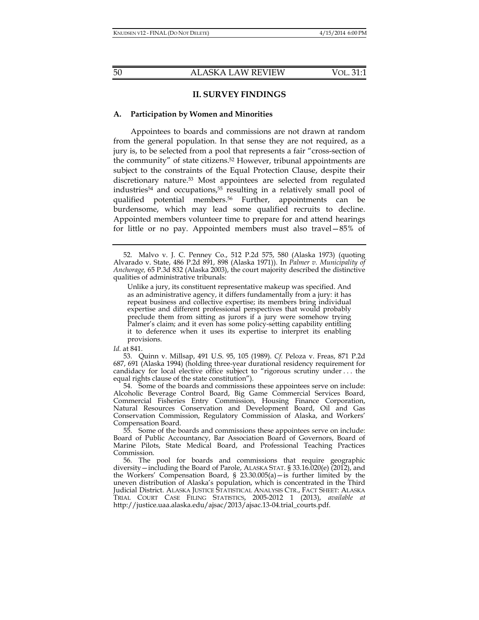## **II. SURVEY FINDINGS**

## **A. Participation by Women and Minorities**

Appointees to boards and commissions are not drawn at random from the general population. In that sense they are not required, as a jury is, to be selected from a pool that represents a fair "cross-section of the community" of state citizens.52 However, tribunal appointments are subject to the constraints of the Equal Protection Clause, despite their discretionary nature.53 Most appointees are selected from regulated industries54 and occupations,55 resulting in a relatively small pool of qualified potential members.56 Further, appointments can be burdensome, which may lead some qualified recruits to decline. Appointed members volunteer time to prepare for and attend hearings for little or no pay. Appointed members must also travel—85% of

*Id.* at 841.

 53. Quinn v. Millsap, 491 U.S. 95, 105 (1989). *Cf.* Peloza v. Freas, 871 P.2d 687, 691 (Alaska 1994) (holding three-year durational residency requirement for candidacy for local elective office subject to "rigorous scrutiny under . . . the equal rights clause of the state constitution").

 54. Some of the boards and commissions these appointees serve on include: Alcoholic Beverage Control Board, Big Game Commercial Services Board, Commercial Fisheries Entry Commission, Housing Finance Corporation, Natural Resources Conservation and Development Board, Oil and Gas Conservation Commission, Regulatory Commission of Alaska, and Workers' Compensation Board.

 55. Some of the boards and commissions these appointees serve on include: Board of Public Accountancy, Bar Association Board of Governors, Board of Marine Pilots, State Medical Board, and Professional Teaching Practices Commission.

 56. The pool for boards and commissions that require geographic diversity—including the Board of Parole, ALASKA STAT. § 33.16.020(e) (2012), and the Workers' Compensation Board, § 23.30.005(a)—is further limited by the uneven distribution of Alaska's population, which is concentrated in the Third Judicial District. ALASKA JUSTICE STATISTICAL ANALYSIS CTR., FACT SHEET: ALASKA TRIAL COURT CASE FILING STATISTICS, 2005-2012 1 (2013), *available at* http://justice.uaa.alaska.edu/ajsac/2013/ajsac.13-04.trial\_courts.pdf.

 <sup>52.</sup> Malvo v. J. C. Penney Co., 512 P.2d 575, 580 (Alaska 1973) (quoting Alvarado v. State, 486 P.2d 891, 898 (Alaska 1971)). In *Palmer v. Municipality of Anchorage,* 65 P.3d 832 (Alaska 2003), the court majority described the distinctive qualities of administrative tribunals:

Unlike a jury, its constituent representative makeup was specified. And as an administrative agency, it differs fundamentally from a jury: it has repeat business and collective expertise; its members bring individual expertise and different professional perspectives that would probably preclude them from sitting as jurors if a jury were somehow trying Palmer's claim; and it even has some policy-setting capability entitling it to deference when it uses its expertise to interpret its enabling provisions.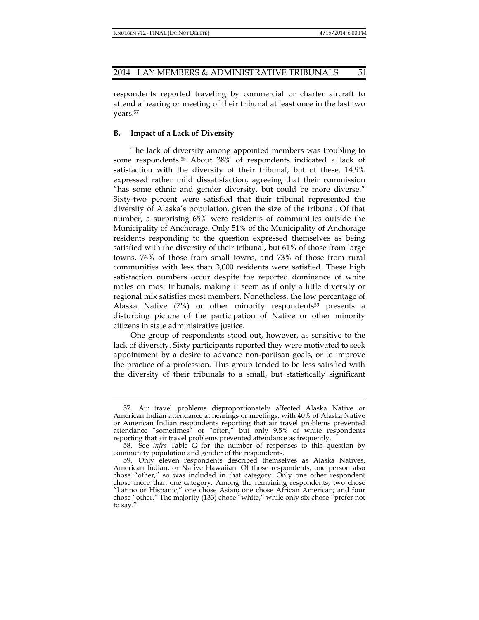respondents reported traveling by commercial or charter aircraft to attend a hearing or meeting of their tribunal at least once in the last two years.57

## **B. Impact of a Lack of Diversity**

The lack of diversity among appointed members was troubling to some respondents.58 About 38% of respondents indicated a lack of satisfaction with the diversity of their tribunal, but of these, 14.9% expressed rather mild dissatisfaction, agreeing that their commission "has some ethnic and gender diversity, but could be more diverse." Sixty-two percent were satisfied that their tribunal represented the diversity of Alaska's population, given the size of the tribunal. Of that number, a surprising 65% were residents of communities outside the Municipality of Anchorage. Only 51% of the Municipality of Anchorage residents responding to the question expressed themselves as being satisfied with the diversity of their tribunal, but 61% of those from large towns, 76% of those from small towns, and 73% of those from rural communities with less than 3,000 residents were satisfied. These high satisfaction numbers occur despite the reported dominance of white males on most tribunals, making it seem as if only a little diversity or regional mix satisfies most members. Nonetheless, the low percentage of Alaska Native (7%) or other minority respondents<sup>59</sup> presents a disturbing picture of the participation of Native or other minority citizens in state administrative justice.

One group of respondents stood out, however, as sensitive to the lack of diversity. Sixty participants reported they were motivated to seek appointment by a desire to advance non-partisan goals, or to improve the practice of a profession. This group tended to be less satisfied with the diversity of their tribunals to a small, but statistically significant

 <sup>57.</sup> Air travel problems disproportionately affected Alaska Native or American Indian attendance at hearings or meetings, with 40% of Alaska Native or American Indian respondents reporting that air travel problems prevented attendance "sometimes" or "often," but only 9.5% of white respondents reporting that air travel problems prevented attendance as frequently.

 <sup>58.</sup> See *infra* Table G for the number of responses to this question by community population and gender of the respondents.

 <sup>59.</sup> Only eleven respondents described themselves as Alaska Natives, American Indian, or Native Hawaiian. Of those respondents, one person also chose "other," so was included in that category. Only one other respondent chose more than one category. Among the remaining respondents, two chose "Latino or Hispanic;" one chose Asian; one chose African American; and four chose "other." The majority (133) chose "white," while only six chose "prefer not to say."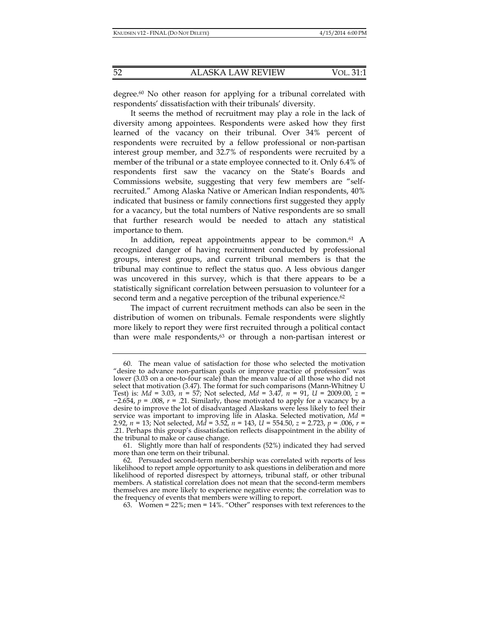degree.60 No other reason for applying for a tribunal correlated with respondents' dissatisfaction with their tribunals' diversity.

It seems the method of recruitment may play a role in the lack of diversity among appointees. Respondents were asked how they first learned of the vacancy on their tribunal. Over 34% percent of respondents were recruited by a fellow professional or non-partisan interest group member, and 32.7% of respondents were recruited by a member of the tribunal or a state employee connected to it. Only 6.4% of respondents first saw the vacancy on the State's Boards and Commissions website, suggesting that very few members are "selfrecruited." Among Alaska Native or American Indian respondents, 40% indicated that business or family connections first suggested they apply for a vacancy, but the total numbers of Native respondents are so small that further research would be needed to attach any statistical importance to them.

In addition, repeat appointments appear to be common.<sup>61</sup> A recognized danger of having recruitment conducted by professional groups, interest groups, and current tribunal members is that the tribunal may continue to reflect the status quo. A less obvious danger was uncovered in this survey, which is that there appears to be a statistically significant correlation between persuasion to volunteer for a second term and a negative perception of the tribunal experience.<sup>62</sup>

The impact of current recruitment methods can also be seen in the distribution of women on tribunals. Female respondents were slightly more likely to report they were first recruited through a political contact than were male respondents,<sup>63</sup> or through a non-partisan interest or

 61. Slightly more than half of respondents (52%) indicated they had served more than one term on their tribunal.

63. Women = 22%; men = 14%. "Other" responses with text references to the

 <sup>60.</sup> The mean value of satisfaction for those who selected the motivation "desire to advance non-partisan goals or improve practice of profession" was lower (3.03 on a one-to-four scale) than the mean value of all those who did not select that motivation (3.47). The format for such comparisons (Mann-Whitney U Test) is: *Md* = 3.03, *n* = 57; Not selected, *Md* = 3.47*, n* = 91, *U* = 2009.00, *z* = −2.654, *p* = .008, *r* = .21. Similarly, those motivated to apply for a vacancy by a desire to improve the lot of disadvantaged Alaskans were less likely to feel their service was important to improving life in Alaska. Selected motivation, *Md* = 2.92, *n* = 13; Not selected, *Md* = 3.52, *n* = 143, *U* = 554.50, *z* = 2.723, *p* = .006, *r* = .21. Perhaps this group's dissatisfaction reflects disappointment in the ability of the tribunal to make or cause change.

 <sup>62.</sup> Persuaded second-term membership was correlated with reports of less likelihood to report ample opportunity to ask questions in deliberation and more likelihood of reported disrespect by attorneys, tribunal staff, or other tribunal members. A statistical correlation does not mean that the second-term members themselves are more likely to experience negative events; the correlation was to the frequency of events that members were willing to report.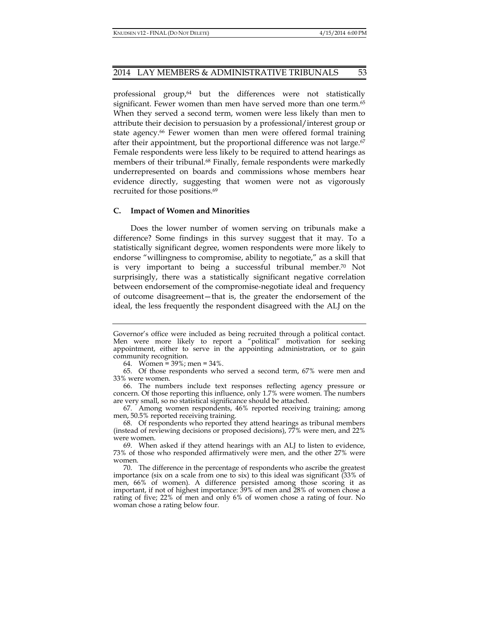professional group,<sup>64</sup> but the differences were not statistically significant. Fewer women than men have served more than one term.<sup>65</sup> When they served a second term, women were less likely than men to attribute their decision to persuasion by a professional/interest group or state agency.<sup>66</sup> Fewer women than men were offered formal training after their appointment, but the proportional difference was not large.<sup>67</sup> Female respondents were less likely to be required to attend hearings as members of their tribunal.<sup>68</sup> Finally, female respondents were markedly underrepresented on boards and commissions whose members hear evidence directly, suggesting that women were not as vigorously recruited for those positions.<sup>69</sup>

## **C. Impact of Women and Minorities**

Does the lower number of women serving on tribunals make a difference? Some findings in this survey suggest that it may. To a statistically significant degree, women respondents were more likely to endorse "willingness to compromise, ability to negotiate," as a skill that is very important to being a successful tribunal member.70 Not surprisingly, there was a statistically significant negative correlation between endorsement of the compromise-negotiate ideal and frequency of outcome disagreement—that is, the greater the endorsement of the ideal, the less frequently the respondent disagreed with the ALJ on the

 67. Among women respondents, 46% reported receiving training; among men, 50.5% reported receiving training.

Governor's office were included as being recruited through a political contact. Men were more likely to report a "political" motivation for seeking appointment, either to serve in the appointing administration, or to gain community recognition.

 <sup>64.</sup> Women = 39%; men = 34%.

 <sup>65.</sup> Of those respondents who served a second term, 67% were men and 33% were women.

 <sup>66.</sup> The numbers include text responses reflecting agency pressure or concern. Of those reporting this influence, only 1.7% were women. The numbers are very small, so no statistical significance should be attached.

 <sup>68.</sup> Of respondents who reported they attend hearings as tribunal members (instead of reviewing decisions or proposed decisions), 77% were men, and 22% were women.

 <sup>69.</sup> When asked if they attend hearings with an ALJ to listen to evidence, 73% of those who responded affirmatively were men, and the other 27% were women.

 <sup>70.</sup> The difference in the percentage of respondents who ascribe the greatest importance (six on a scale from one to six) to this ideal was significant (33% of men, 66% of women). A difference persisted among those scoring it as important, if not of highest importance: 39% of men and 28% of women chose a rating of five; 22% of men and only 6% of women chose a rating of four. No woman chose a rating below four.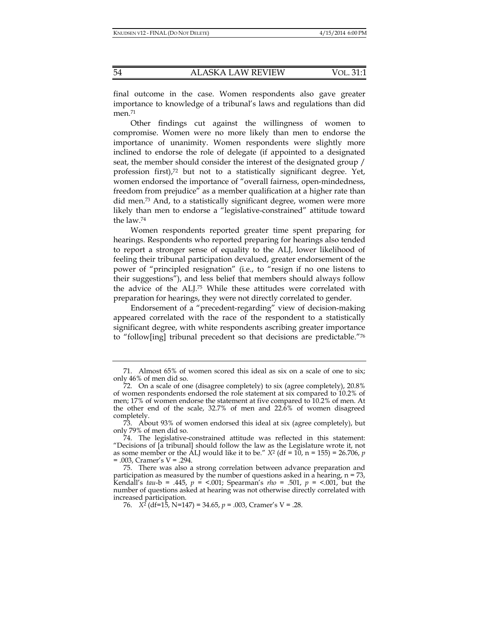final outcome in the case. Women respondents also gave greater importance to knowledge of a tribunal's laws and regulations than did men.<sup>71</sup>

Other findings cut against the willingness of women to compromise. Women were no more likely than men to endorse the importance of unanimity. Women respondents were slightly more inclined to endorse the role of delegate (if appointed to a designated seat, the member should consider the interest of the designated group / profession first),<sup>72</sup> but not to a statistically significant degree. Yet, women endorsed the importance of "overall fairness, open-mindedness, freedom from prejudice" as a member qualification at a higher rate than did men.73 And, to a statistically significant degree, women were more likely than men to endorse a "legislative-constrained" attitude toward the law.74

Women respondents reported greater time spent preparing for hearings. Respondents who reported preparing for hearings also tended to report a stronger sense of equality to the ALJ, lower likelihood of feeling their tribunal participation devalued, greater endorsement of the power of "principled resignation" (i.e., to "resign if no one listens to their suggestions"), and less belief that members should always follow the advice of the ALJ.75 While these attitudes were correlated with preparation for hearings, they were not directly correlated to gender.

Endorsement of a "precedent-regarding" view of decision-making appeared correlated with the race of the respondent to a statistically significant degree, with white respondents ascribing greater importance to "follow[ing] tribunal precedent so that decisions are predictable."76

 <sup>71.</sup> Almost 65% of women scored this ideal as six on a scale of one to six; only 46% of men did so.

 <sup>72.</sup> On a scale of one (disagree completely) to six (agree completely), 20.8% of women respondents endorsed the role statement at six compared to 10.2% of men; 17% of women endorse the statement at five compared to 10.2% of men. At the other end of the scale, 32.7% of men and 22.6% of women disagreed completely.

 <sup>73.</sup> About 93% of women endorsed this ideal at six (agree completely), but only 79% of men did so.

 <sup>74.</sup> The legislative-constrained attitude was reflected in this statement: "Decisions of [a tribunal] should follow the law as the Legislature wrote it, not as some member or the ALJ would like it to be."  $X^2$  (df = 10, n = 155) = 26.706, *p* = .003, Cramer's V = .294.

 <sup>75.</sup> There was also a strong correlation between advance preparation and participation as measured by the number of questions asked in a hearing, n = 73, Kendall's *tau-b* = .445,  $p = 0.001$ ; Spearman's *rho* = .501,  $p = 0.001$ , but the number of questions asked at hearing was not otherwise directly correlated with increased participation.

<sup>76.</sup>  $X^2$  (df=15, N=147) = 34.65,  $p = .003$ , Cramer's V = .28.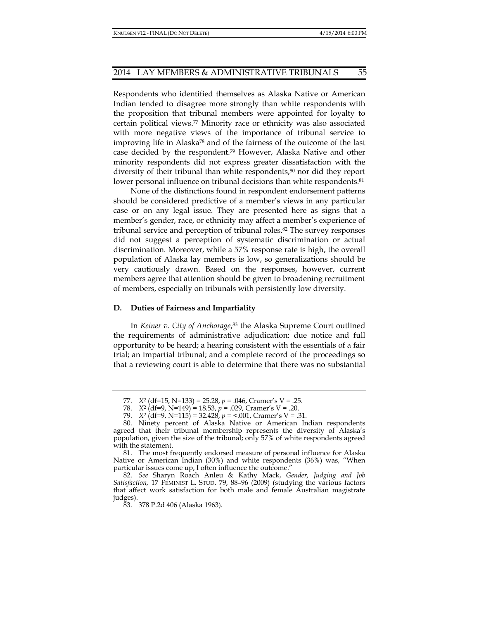Respondents who identified themselves as Alaska Native or American Indian tended to disagree more strongly than white respondents with the proposition that tribunal members were appointed for loyalty to certain political views.77 Minority race or ethnicity was also associated with more negative views of the importance of tribunal service to improving life in Alaska78 and of the fairness of the outcome of the last case decided by the respondent.79 However, Alaska Native and other minority respondents did not express greater dissatisfaction with the diversity of their tribunal than white respondents,<sup>80</sup> nor did they report lower personal influence on tribunal decisions than white respondents.<sup>81</sup>

None of the distinctions found in respondent endorsement patterns should be considered predictive of a member's views in any particular case or on any legal issue. They are presented here as signs that a member's gender, race, or ethnicity may affect a member's experience of tribunal service and perception of tribunal roles.82 The survey responses did not suggest a perception of systematic discrimination or actual discrimination. Moreover, while a 57% response rate is high, the overall population of Alaska lay members is low, so generalizations should be very cautiously drawn. Based on the responses, however, current members agree that attention should be given to broadening recruitment of members, especially on tribunals with persistently low diversity.

#### **D. Duties of Fairness and Impartiality**

In *Keiner v. City of Anchorage*, 83 the Alaska Supreme Court outlined the requirements of administrative adjudication: due notice and full opportunity to be heard; a hearing consistent with the essentials of a fair trial; an impartial tribunal; and a complete record of the proceedings so that a reviewing court is able to determine that there was no substantial

 <sup>77.</sup> *X*2 (df=15, N=133) = 25.28, *p* = .046, Cramer's V = .25.

 <sup>78.</sup> *X*2 (df=9, N=149) = 18.53, *p* = .029, Cramer's V = .20.

 <sup>79.</sup> *X*2 (df=9, N=115) = 32.428, *p* = <.001, Cramer's V = .31.

 <sup>80.</sup> Ninety percent of Alaska Native or American Indian respondents agreed that their tribunal membership represents the diversity of Alaska's population, given the size of the tribunal; only 57% of white respondents agreed with the statement.

 <sup>81.</sup> The most frequently endorsed measure of personal influence for Alaska Native or American Indian (30%) and white respondents (36%) was, "When particular issues come up, I often influence the outcome."

 <sup>82.</sup> *See* Sharyn Roach Anleu & Kathy Mack, *Gender, Judging and Job Satisfaction,* 17 FEMINIST L. STUD. 79, 88–96 (2009) (studying the various factors that affect work satisfaction for both male and female Australian magistrate judges).

 <sup>83. 378</sup> P.2d 406 (Alaska 1963).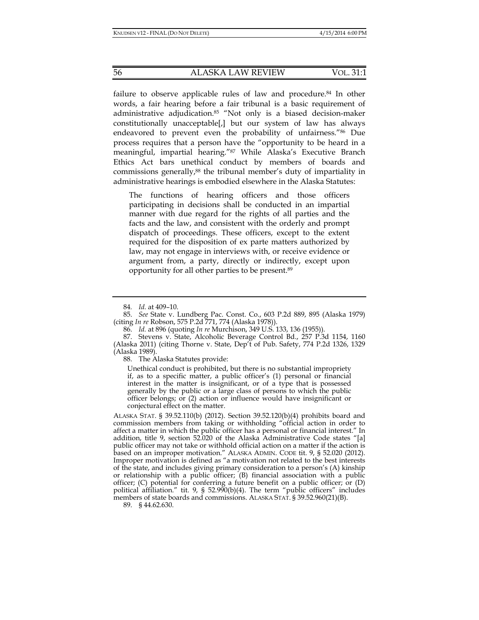failure to observe applicable rules of law and procedure.84 In other words, a fair hearing before a fair tribunal is a basic requirement of administrative adjudication.85 "Not only is a biased decision-maker constitutionally unacceptable[,] but our system of law has always endeavored to prevent even the probability of unfairness."86 Due process requires that a person have the "opportunity to be heard in a meaningful, impartial hearing."87 While Alaska's Executive Branch Ethics Act bars unethical conduct by members of boards and commissions generally,88 the tribunal member's duty of impartiality in administrative hearings is embodied elsewhere in the Alaska Statutes:

The functions of hearing officers and those officers participating in decisions shall be conducted in an impartial manner with due regard for the rights of all parties and the facts and the law, and consistent with the orderly and prompt dispatch of proceedings. These officers, except to the extent required for the disposition of ex parte matters authorized by law, may not engage in interviews with, or receive evidence or argument from, a party, directly or indirectly, except upon opportunity for all other parties to be present.89

88. The Alaska Statutes provide:

Unethical conduct is prohibited, but there is no substantial impropriety if, as to a specific matter, a public officer's (1) personal or financial interest in the matter is insignificant, or of a type that is possessed generally by the public or a large class of persons to which the public officer belongs; or (2) action or influence would have insignificant or conjectural effect on the matter.

<sup>84</sup>*. Id.* at 409–10.

 <sup>85.</sup> *See* State v. Lundberg Pac. Const. Co., 603 P.2d 889, 895 (Alaska 1979) (citing *In re* Robson, 575 P.2d 771, 774 (Alaska 1978)).

 <sup>86.</sup> *Id.* at 896 (quoting *In re* Murchison, 349 U.S. 133, 136 (1955)).

 <sup>87.</sup> Stevens v. State, Alcoholic Beverage Control Bd., 257 P.3d 1154, 1160 (Alaska 2011) (citing Thorne v. State, Dep't of Pub. Safety, 774 P.2d 1326, 1329 (Alaska 1989).

ALASKA STAT. § 39.52.110(b) (2012). Section 39.52.120(b)(4) prohibits board and commission members from taking or withholding "official action in order to affect a matter in which the public officer has a personal or financial interest." In addition, title 9, section 52.020 of the Alaska Administrative Code states "[a] public officer may not take or withhold official action on a matter if the action is based on an improper motivation." ALASKA ADMIN. CODE tit. 9, § 52.020 (2012). Improper motivation is defined as "a motivation not related to the best interests of the state, and includes giving primary consideration to a person's (A) kinship or relationship with a public officer; (B) financial association with a public officer;  $(C)$  potential for conferring a future benefit on a public officer; or  $(D)$ political affiliation." tit. 9, § 52.990(b)(4). The term "public officers" includes members of state boards and commissions. ALASKA STAT. § 39.52.960(21)(B).

 <sup>89. § 44.62.630.</sup>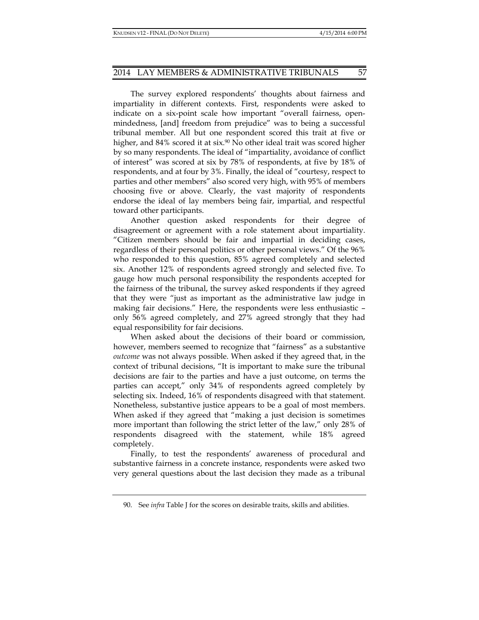The survey explored respondents' thoughts about fairness and impartiality in different contexts. First, respondents were asked to indicate on a six-point scale how important "overall fairness, openmindedness, [and] freedom from prejudice" was to being a successful tribunal member. All but one respondent scored this trait at five or higher, and  $84\%$  scored it at six.<sup>90</sup> No other ideal trait was scored higher by so many respondents. The ideal of "impartiality, avoidance of conflict of interest" was scored at six by 78% of respondents, at five by 18% of respondents, and at four by 3%. Finally, the ideal of "courtesy, respect to parties and other members" also scored very high, with 95% of members choosing five or above. Clearly, the vast majority of respondents endorse the ideal of lay members being fair, impartial, and respectful toward other participants.

Another question asked respondents for their degree of disagreement or agreement with a role statement about impartiality. "Citizen members should be fair and impartial in deciding cases, regardless of their personal politics or other personal views." Of the 96% who responded to this question, 85% agreed completely and selected six. Another 12% of respondents agreed strongly and selected five. To gauge how much personal responsibility the respondents accepted for the fairness of the tribunal, the survey asked respondents if they agreed that they were "just as important as the administrative law judge in making fair decisions." Here, the respondents were less enthusiastic – only 56% agreed completely, and 27% agreed strongly that they had equal responsibility for fair decisions.

When asked about the decisions of their board or commission, however, members seemed to recognize that "fairness" as a substantive *outcome* was not always possible. When asked if they agreed that, in the context of tribunal decisions, "It is important to make sure the tribunal decisions are fair to the parties and have a just outcome, on terms the parties can accept," only 34% of respondents agreed completely by selecting six. Indeed, 16% of respondents disagreed with that statement. Nonetheless, substantive justice appears to be a goal of most members. When asked if they agreed that "making a just decision is sometimes more important than following the strict letter of the law," only 28% of respondents disagreed with the statement, while 18% agreed completely.

Finally, to test the respondents' awareness of procedural and substantive fairness in a concrete instance, respondents were asked two very general questions about the last decision they made as a tribunal

 <sup>90.</sup> See *infra* Table J for the scores on desirable traits, skills and abilities.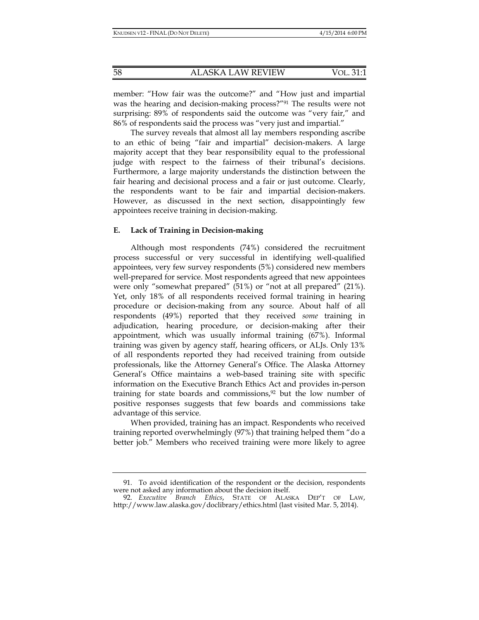member: "How fair was the outcome?" and "How just and impartial was the hearing and decision-making process?"91 The results were not surprising: 89% of respondents said the outcome was "very fair," and 86% of respondents said the process was "very just and impartial."

The survey reveals that almost all lay members responding ascribe to an ethic of being "fair and impartial" decision-makers. A large majority accept that they bear responsibility equal to the professional judge with respect to the fairness of their tribunal's decisions. Furthermore, a large majority understands the distinction between the fair hearing and decisional process and a fair or just outcome. Clearly, the respondents want to be fair and impartial decision-makers. However, as discussed in the next section, disappointingly few appointees receive training in decision-making.

## **E. Lack of Training in Decision-making**

Although most respondents (74%) considered the recruitment process successful or very successful in identifying well-qualified appointees, very few survey respondents (5%) considered new members well-prepared for service. Most respondents agreed that new appointees were only "somewhat prepared" (51%) or "not at all prepared" (21%). Yet, only 18% of all respondents received formal training in hearing procedure or decision-making from any source. About half of all respondents (49%) reported that they received *some* training in adjudication, hearing procedure, or decision-making after their appointment, which was usually informal training (67%). Informal training was given by agency staff, hearing officers, or ALJs. Only 13% of all respondents reported they had received training from outside professionals, like the Attorney General's Office. The Alaska Attorney General's Office maintains a web-based training site with specific information on the Executive Branch Ethics Act and provides in-person training for state boards and commissions, $92$  but the low number of positive responses suggests that few boards and commissions take advantage of this service.

When provided, training has an impact. Respondents who received training reported overwhelmingly (97%) that training helped them "do a better job." Members who received training were more likely to agree

 <sup>91.</sup> To avoid identification of the respondent or the decision, respondents were not asked any information about the decision itself.

 <sup>92.</sup> *Executive Branch Ethics*, STATE OF ALASKA DEP'T OF LAW, http://www.law.alaska.gov/doclibrary/ethics.html (last visited Mar. 5, 2014).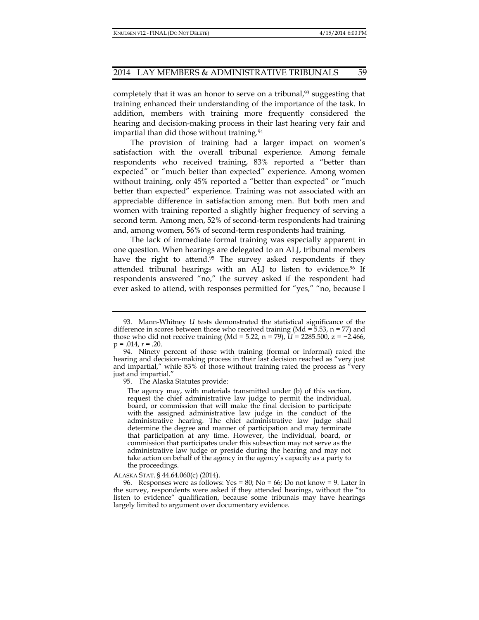completely that it was an honor to serve on a tribunal, $93$  suggesting that training enhanced their understanding of the importance of the task. In addition, members with training more frequently considered the hearing and decision-making process in their last hearing very fair and impartial than did those without training.94

The provision of training had a larger impact on women's satisfaction with the overall tribunal experience. Among female respondents who received training, 83% reported a "better than expected" or "much better than expected" experience. Among women without training, only 45% reported a "better than expected" or "much better than expected" experience. Training was not associated with an appreciable difference in satisfaction among men. But both men and women with training reported a slightly higher frequency of serving a second term. Among men, 52% of second-term respondents had training and, among women, 56% of second-term respondents had training.

The lack of immediate formal training was especially apparent in one question. When hearings are delegated to an ALJ, tribunal members have the right to attend.<sup>95</sup> The survey asked respondents if they attended tribunal hearings with an ALJ to listen to evidence.96 If respondents answered "no," the survey asked if the respondent had ever asked to attend, with responses permitted for "yes," "no, because I

95. The Alaska Statutes provide:

The agency may, with materials transmitted under (b) of this section, request the chief administrative law judge to permit the individual, board, or commission that will make the final decision to participate with the assigned administrative law judge in the conduct of the administrative hearing. The chief administrative law judge shall determine the degree and manner of participation and may terminate that participation at any time. However, the individual, board, or commission that participates under this subsection may not serve as the administrative law judge or preside during the hearing and may not take action on behalf of the agency in the agency's capacity as a party to the proceedings.

#### ALASKA STAT. § 44.64.060(c) (2014).

96. Responses were as follows: Yes = 80; No = 66; Do not know = 9. Later in the survey, respondents were asked if they attended hearings, without the "to listen to evidence" qualification, because some tribunals may have hearings largely limited to argument over documentary evidence.

 <sup>93.</sup> Mann-Whitney *U* tests demonstrated the statistical significance of the difference in scores between those who received training (Md =  $5.53$ , n =  $77$ ) and those who did not receive training (Md = 5.22, n = 79), *U* = 2285.500, z = −2.466,  $p = .014$ ,  $r = .20$ .

 <sup>94.</sup> Ninety percent of those with training (formal or informal) rated the hearing and decision-making process in their last decision reached as "very just and impartial," while 83% of those without training rated the process as "very just and impartial."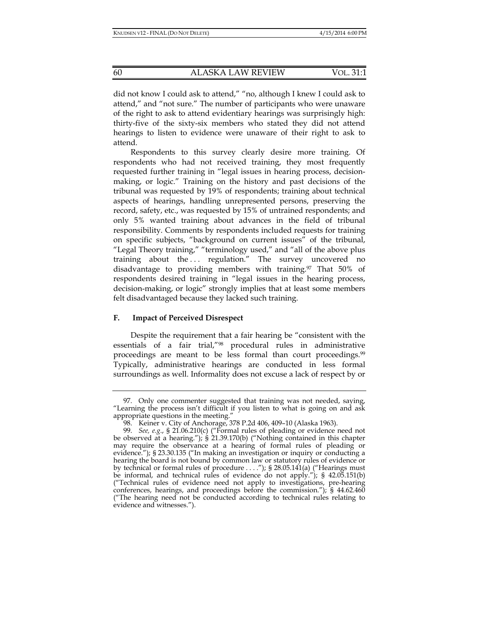did not know I could ask to attend," "no, although I knew I could ask to attend," and "not sure." The number of participants who were unaware of the right to ask to attend evidentiary hearings was surprisingly high: thirty-five of the sixty-six members who stated they did not attend hearings to listen to evidence were unaware of their right to ask to attend.

Respondents to this survey clearly desire more training. Of respondents who had not received training, they most frequently requested further training in "legal issues in hearing process, decisionmaking, or logic." Training on the history and past decisions of the tribunal was requested by 19% of respondents; training about technical aspects of hearings, handling unrepresented persons, preserving the record, safety, etc., was requested by 15% of untrained respondents; and only 5% wanted training about advances in the field of tribunal responsibility. Comments by respondents included requests for training on specific subjects, "background on current issues" of the tribunal, "Legal Theory training," "terminology used," and "all of the above plus training about the ... regulation." The survey uncovered no disadvantage to providing members with training.97 That 50% of respondents desired training in "legal issues in the hearing process, decision-making, or logic" strongly implies that at least some members felt disadvantaged because they lacked such training.

## **F. Impact of Perceived Disrespect**

Despite the requirement that a fair hearing be "consistent with the essentials of a fair trial,"98 procedural rules in administrative proceedings are meant to be less formal than court proceedings.99 Typically, administrative hearings are conducted in less formal surroundings as well. Informality does not excuse a lack of respect by or

 <sup>97.</sup> Only one commenter suggested that training was not needed, saying, "Learning the process isn't difficult if you listen to what is going on and ask appropriate questions in the meeting."

 <sup>98.</sup> Keiner v. City of Anchorage, 378 P.2d 406, 409–10 (Alaska 1963).

 <sup>99.</sup> *See, e.g*., § 21.06.210(c) ("Formal rules of pleading or evidence need not be observed at a hearing."); § 21.39.170(b) ("Nothing contained in this chapter may require the observance at a hearing of formal rules of pleading or evidence."); § 23.30.135 ("In making an investigation or inquiry or conducting a hearing the board is not bound by common law or statutory rules of evidence or by technical or formal rules of procedure . . . ."); § 28.05.141(a) ("Hearings must be informal, and technical rules of evidence do not apply."); § 42.05.151(b) ("Technical rules of evidence need not apply to investigations, pre-hearing conferences, hearings, and proceedings before the commission."); § 44.62.460 ("The hearing need not be conducted according to technical rules relating to evidence and witnesses.").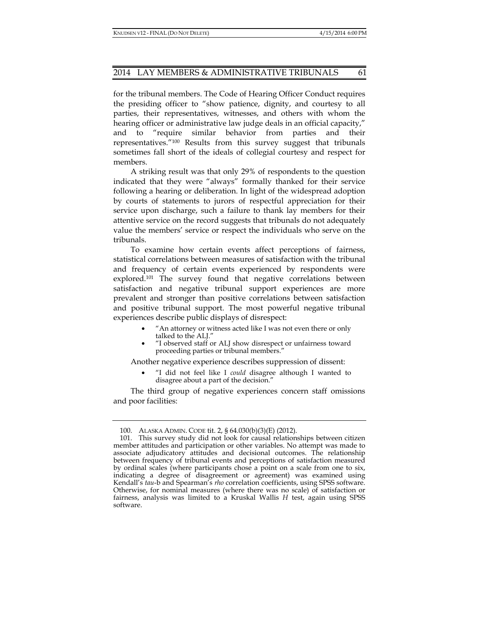for the tribunal members. The Code of Hearing Officer Conduct requires the presiding officer to "show patience, dignity, and courtesy to all parties, their representatives, witnesses, and others with whom the hearing officer or administrative law judge deals in an official capacity," and to "require similar behavior from parties and their representatives."100 Results from this survey suggest that tribunals sometimes fall short of the ideals of collegial courtesy and respect for members.

A striking result was that only 29% of respondents to the question indicated that they were "always" formally thanked for their service following a hearing or deliberation. In light of the widespread adoption by courts of statements to jurors of respectful appreciation for their service upon discharge, such a failure to thank lay members for their attentive service on the record suggests that tribunals do not adequately value the members' service or respect the individuals who serve on the tribunals.

To examine how certain events affect perceptions of fairness, statistical correlations between measures of satisfaction with the tribunal and frequency of certain events experienced by respondents were explored.101 The survey found that negative correlations between satisfaction and negative tribunal support experiences are more prevalent and stronger than positive correlations between satisfaction and positive tribunal support. The most powerful negative tribunal experiences describe public displays of disrespect:

- "An attorney or witness acted like I was not even there or only talked to the ALJ."
- "I observed staff or ALJ show disrespect or unfairness toward proceeding parties or tribunal members."

Another negative experience describes suppression of dissent:

• "I did not feel like I *could* disagree although I wanted to disagree about a part of the decision."

The third group of negative experiences concern staff omissions and poor facilities:

 <sup>100.</sup> ALASKA ADMIN. CODE tit. 2, § 64.030(b)(3)(E) (2012).

 <sup>101.</sup> This survey study did not look for causal relationships between citizen member attitudes and participation or other variables. No attempt was made to associate adjudicatory attitudes and decisional outcomes. The relationship between frequency of tribunal events and perceptions of satisfaction measured by ordinal scales (where participants chose a point on a scale from one to six, indicating a degree of disagreement or agreement) was examined using Kendall's *tau*-b and Spearman's *rho* correlation coefficients, using SPSS software. Otherwise, for nominal measures (where there was no scale) of satisfaction or fairness, analysis was limited to a Kruskal Wallis *H* test, again using SPSS software.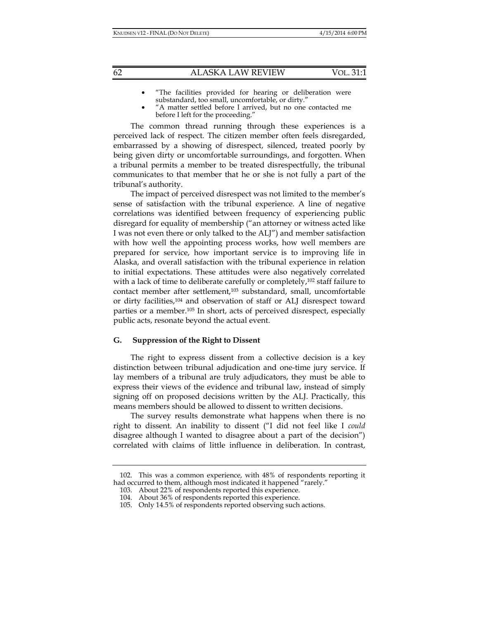- "The facilities provided for hearing or deliberation were substandard, too small, uncomfortable, or dirty."
- "A matter settled before I arrived, but no one contacted me before I left for the proceeding."

The common thread running through these experiences is a perceived lack of respect. The citizen member often feels disregarded, embarrassed by a showing of disrespect, silenced, treated poorly by being given dirty or uncomfortable surroundings, and forgotten. When a tribunal permits a member to be treated disrespectfully, the tribunal communicates to that member that he or she is not fully a part of the tribunal's authority.

The impact of perceived disrespect was not limited to the member's sense of satisfaction with the tribunal experience. A line of negative correlations was identified between frequency of experiencing public disregard for equality of membership ("an attorney or witness acted like I was not even there or only talked to the ALJ") and member satisfaction with how well the appointing process works, how well members are prepared for service, how important service is to improving life in Alaska, and overall satisfaction with the tribunal experience in relation to initial expectations. These attitudes were also negatively correlated with a lack of time to deliberate carefully or completely,<sup>102</sup> staff failure to contact member after settlement,103 substandard, small, uncomfortable or dirty facilities,104 and observation of staff or ALJ disrespect toward parties or a member.105 In short, acts of perceived disrespect, especially public acts, resonate beyond the actual event.

#### **G. Suppression of the Right to Dissent**

The right to express dissent from a collective decision is a key distinction between tribunal adjudication and one-time jury service. If lay members of a tribunal are truly adjudicators, they must be able to express their views of the evidence and tribunal law, instead of simply signing off on proposed decisions written by the ALJ. Practically, this means members should be allowed to dissent to written decisions.

The survey results demonstrate what happens when there is no right to dissent. An inability to dissent ("I did not feel like I *could* disagree although I wanted to disagree about a part of the decision") correlated with claims of little influence in deliberation. In contrast,

 <sup>102.</sup> This was a common experience, with 48% of respondents reporting it had occurred to them, although most indicated it happened "rarely."

 <sup>103.</sup> About 22% of respondents reported this experience.

 <sup>104.</sup> About 36% of respondents reported this experience.

 <sup>105.</sup> Only 14.5% of respondents reported observing such actions.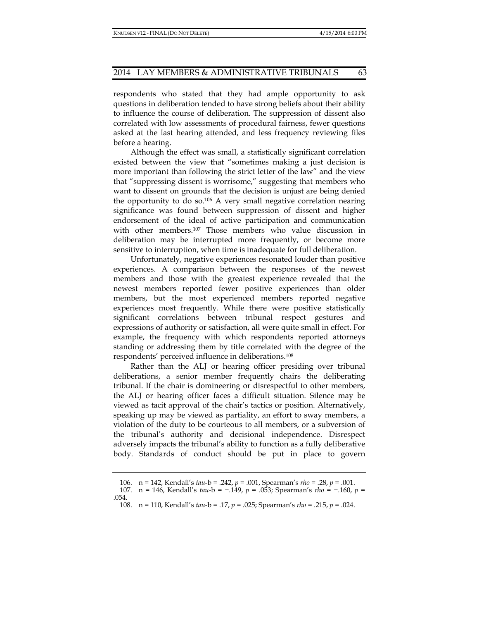respondents who stated that they had ample opportunity to ask questions in deliberation tended to have strong beliefs about their ability to influence the course of deliberation. The suppression of dissent also correlated with low assessments of procedural fairness, fewer questions asked at the last hearing attended, and less frequency reviewing files before a hearing.

Although the effect was small, a statistically significant correlation existed between the view that "sometimes making a just decision is more important than following the strict letter of the law" and the view that "suppressing dissent is worrisome," suggesting that members who want to dissent on grounds that the decision is unjust are being denied the opportunity to do so.<sup>106</sup> A very small negative correlation nearing significance was found between suppression of dissent and higher endorsement of the ideal of active participation and communication with other members.107 Those members who value discussion in deliberation may be interrupted more frequently, or become more sensitive to interruption, when time is inadequate for full deliberation.

Unfortunately, negative experiences resonated louder than positive experiences. A comparison between the responses of the newest members and those with the greatest experience revealed that the newest members reported fewer positive experiences than older members, but the most experienced members reported negative experiences most frequently. While there were positive statistically significant correlations between tribunal respect gestures and expressions of authority or satisfaction, all were quite small in effect. For example, the frequency with which respondents reported attorneys standing or addressing them by title correlated with the degree of the respondents' perceived influence in deliberations.108

Rather than the ALJ or hearing officer presiding over tribunal deliberations, a senior member frequently chairs the deliberating tribunal. If the chair is domineering or disrespectful to other members, the ALJ or hearing officer faces a difficult situation. Silence may be viewed as tacit approval of the chair's tactics or position. Alternatively, speaking up may be viewed as partiality, an effort to sway members, a violation of the duty to be courteous to all members, or a subversion of the tribunal's authority and decisional independence. Disrespect adversely impacts the tribunal's ability to function as a fully deliberative body. Standards of conduct should be put in place to govern

 <sup>106.</sup> n = 142, Kendall's *tau*-b = .242, *p* = .001, Spearman's *rho* = .28, *p* = .001.

 <sup>107.</sup> n = 146, Kendall's *tau*-b = −.149, *p* = .053; Spearman's *rho =* −.160, *p* = .054.

 <sup>108.</sup> n = 110, Kendall's *tau*-b = .17, *p* = .025; Spearman's *rho =* .215, *p* = .024.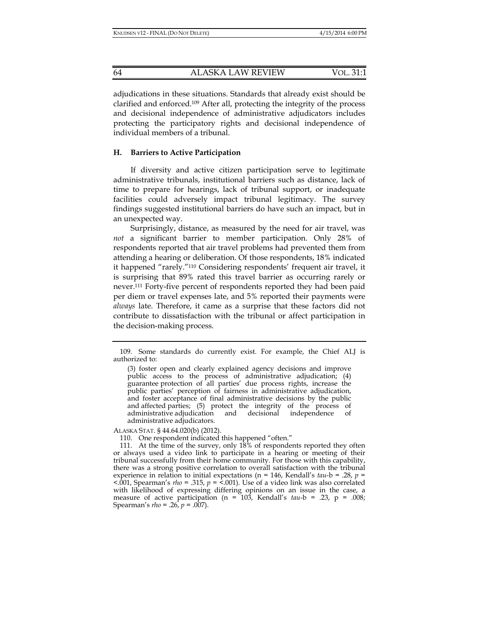adjudications in these situations. Standards that already exist should be clarified and enforced.109 After all, protecting the integrity of the process and decisional independence of administrative adjudicators includes protecting the participatory rights and decisional independence of individual members of a tribunal.

## **H. Barriers to Active Participation**

If diversity and active citizen participation serve to legitimate administrative tribunals, institutional barriers such as distance, lack of time to prepare for hearings, lack of tribunal support, or inadequate facilities could adversely impact tribunal legitimacy. The survey findings suggested institutional barriers do have such an impact, but in an unexpected way.

Surprisingly, distance, as measured by the need for air travel, was *not* a significant barrier to member participation. Only 28% of respondents reported that air travel problems had prevented them from attending a hearing or deliberation. Of those respondents, 18% indicated it happened "rarely."110 Considering respondents' frequent air travel, it is surprising that 89% rated this travel barrier as occurring rarely or never.111 Forty-five percent of respondents reported they had been paid per diem or travel expenses late, and 5% reported their payments were *always* late. Therefore, it came as a surprise that these factors did not contribute to dissatisfaction with the tribunal or affect participation in the decision-making process.

ALASKA STAT. § 44.64.020(b) (2012).

110. One respondent indicated this happened "often."

 <sup>109.</sup> Some standards do currently exist. For example, the Chief ALJ is authorized to:

<sup>(3)</sup> foster open and clearly explained agency decisions and improve public access to the process of administrative adjudication; (4) guarantee protection of all parties' due process rights, increase the public parties' perception of fairness in administrative adjudication, and foster acceptance of final administrative decisions by the public and affected parties; (5) protect the integrity of the process of administrative adjudication and decisional independence of decisional independence of administrative adjudicators.

 <sup>111.</sup> At the time of the survey, only 18% of respondents reported they often or always used a video link to participate in a hearing or meeting of their tribunal successfully from their home community. For those with this capability, there was a strong positive correlation to overall satisfaction with the tribunal experience in relation to initial expectations (n = 146, Kendall's *tau*-b = .28, *p* =  $\leq$ .001, Spearman's *rho* = .315,  $p = \leq$ .001). Use of a video link was also correlated with likelihood of expressing differing opinions on an issue in the case, a measure of active participation (n = 103, Kendall's *tau*-b = .23, p = .008; Spearman's *rho =* .26, *p* = .007).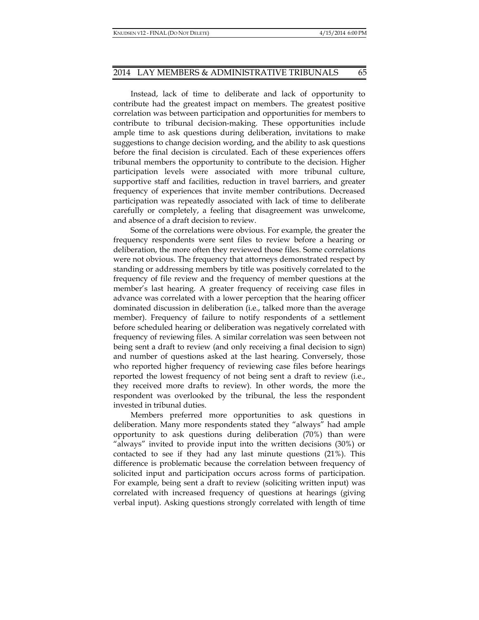Instead, lack of time to deliberate and lack of opportunity to contribute had the greatest impact on members. The greatest positive correlation was between participation and opportunities for members to contribute to tribunal decision-making. These opportunities include ample time to ask questions during deliberation, invitations to make suggestions to change decision wording, and the ability to ask questions before the final decision is circulated. Each of these experiences offers tribunal members the opportunity to contribute to the decision. Higher participation levels were associated with more tribunal culture, supportive staff and facilities, reduction in travel barriers, and greater frequency of experiences that invite member contributions. Decreased participation was repeatedly associated with lack of time to deliberate carefully or completely, a feeling that disagreement was unwelcome, and absence of a draft decision to review.

Some of the correlations were obvious. For example, the greater the frequency respondents were sent files to review before a hearing or deliberation, the more often they reviewed those files. Some correlations were not obvious. The frequency that attorneys demonstrated respect by standing or addressing members by title was positively correlated to the frequency of file review and the frequency of member questions at the member's last hearing. A greater frequency of receiving case files in advance was correlated with a lower perception that the hearing officer dominated discussion in deliberation (i.e., talked more than the average member). Frequency of failure to notify respondents of a settlement before scheduled hearing or deliberation was negatively correlated with frequency of reviewing files. A similar correlation was seen between not being sent a draft to review (and only receiving a final decision to sign) and number of questions asked at the last hearing. Conversely, those who reported higher frequency of reviewing case files before hearings reported the lowest frequency of not being sent a draft to review (i.e., they received more drafts to review). In other words, the more the respondent was overlooked by the tribunal, the less the respondent invested in tribunal duties.

Members preferred more opportunities to ask questions in deliberation. Many more respondents stated they "always" had ample opportunity to ask questions during deliberation (70%) than were "always" invited to provide input into the written decisions (30%) or contacted to see if they had any last minute questions (21%). This difference is problematic because the correlation between frequency of solicited input and participation occurs across forms of participation. For example, being sent a draft to review (soliciting written input) was correlated with increased frequency of questions at hearings (giving verbal input). Asking questions strongly correlated with length of time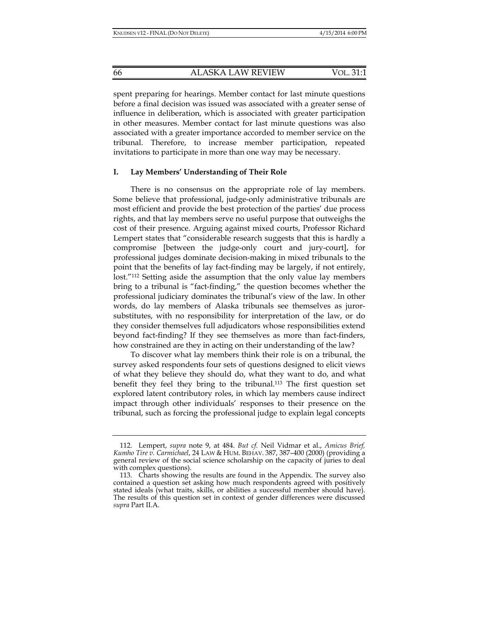spent preparing for hearings. Member contact for last minute questions before a final decision was issued was associated with a greater sense of influence in deliberation, which is associated with greater participation in other measures. Member contact for last minute questions was also associated with a greater importance accorded to member service on the tribunal. Therefore, to increase member participation, repeated invitations to participate in more than one way may be necessary.

## **I. Lay Members' Understanding of Their Role**

There is no consensus on the appropriate role of lay members. Some believe that professional, judge-only administrative tribunals are most efficient and provide the best protection of the parties' due process rights, and that lay members serve no useful purpose that outweighs the cost of their presence. Arguing against mixed courts, Professor Richard Lempert states that "considerable research suggests that this is hardly a compromise [between the judge-only court and jury-court], for professional judges dominate decision-making in mixed tribunals to the point that the benefits of lay fact-finding may be largely, if not entirely, lost."112 Setting aside the assumption that the only value lay members bring to a tribunal is "fact-finding," the question becomes whether the professional judiciary dominates the tribunal's view of the law. In other words, do lay members of Alaska tribunals see themselves as jurorsubstitutes, with no responsibility for interpretation of the law, or do they consider themselves full adjudicators whose responsibilities extend beyond fact-finding? If they see themselves as more than fact-finders, how constrained are they in acting on their understanding of the law?

To discover what lay members think their role is on a tribunal, the survey asked respondents four sets of questions designed to elicit views of what they believe they should do, what they want to do, and what benefit they feel they bring to the tribunal.<sup>113</sup> The first question set explored latent contributory roles, in which lay members cause indirect impact through other individuals' responses to their presence on the tribunal, such as forcing the professional judge to explain legal concepts

 <sup>112.</sup> Lempert, *supra* note 9, at 484. *But cf.* Neil Vidmar et al., *Amicus Brief, Kumho Tire v. Carmichael*, 24 LAW & HUM. BEHAV. 387, 387–400 (2000) (providing a general review of the social science scholarship on the capacity of juries to deal with complex questions).

 <sup>113.</sup> Charts showing the results are found in the Appendix. The survey also contained a question set asking how much respondents agreed with positively stated ideals (what traits, skills, or abilities a successful member should have). The results of this question set in context of gender differences were discussed *supra* Part II.A.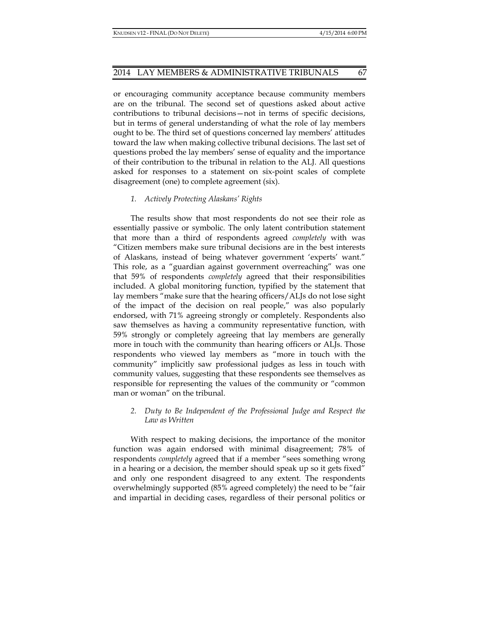or encouraging community acceptance because community members are on the tribunal. The second set of questions asked about active contributions to tribunal decisions—not in terms of specific decisions, but in terms of general understanding of what the role of lay members ought to be. The third set of questions concerned lay members' attitudes toward the law when making collective tribunal decisions. The last set of questions probed the lay members' sense of equality and the importance of their contribution to the tribunal in relation to the ALJ. All questions asked for responses to a statement on six-point scales of complete disagreement (one) to complete agreement (six).

## *1. Actively Protecting Alaskans' Rights*

The results show that most respondents do not see their role as essentially passive or symbolic. The only latent contribution statement that more than a third of respondents agreed *completely* with was "Citizen members make sure tribunal decisions are in the best interests of Alaskans, instead of being whatever government 'experts' want." This role, as a "guardian against government overreaching" was one that 59% of respondents *completely* agreed that their responsibilities included. A global monitoring function, typified by the statement that lay members "make sure that the hearing officers/ALJs do not lose sight of the impact of the decision on real people," was also popularly endorsed, with 71% agreeing strongly or completely. Respondents also saw themselves as having a community representative function, with 59% strongly or completely agreeing that lay members are generally more in touch with the community than hearing officers or ALJs. Those respondents who viewed lay members as "more in touch with the community" implicitly saw professional judges as less in touch with community values, suggesting that these respondents see themselves as responsible for representing the values of the community or "common man or woman" on the tribunal.

## *2. Duty to Be Independent of the Professional Judge and Respect the Law as Written*

With respect to making decisions, the importance of the monitor function was again endorsed with minimal disagreement; 78% of respondents *completely* agreed that if a member "sees something wrong in a hearing or a decision, the member should speak up so it gets fixed" and only one respondent disagreed to any extent. The respondents overwhelmingly supported (85% agreed completely) the need to be "fair and impartial in deciding cases, regardless of their personal politics or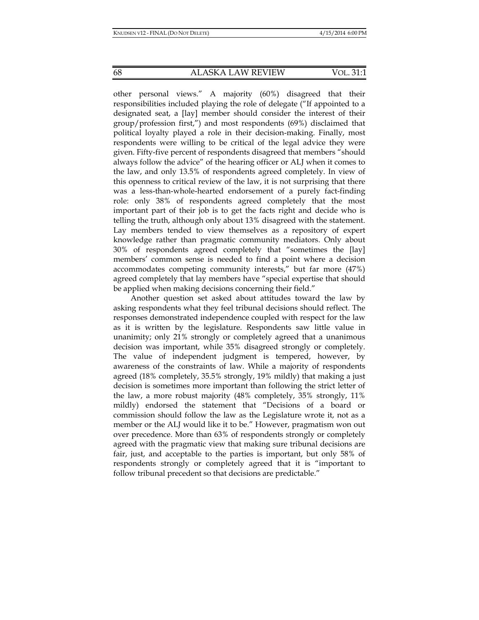other personal views." A majority (60%) disagreed that their responsibilities included playing the role of delegate ("If appointed to a designated seat, a [lay] member should consider the interest of their group/profession first,") and most respondents (69%) disclaimed that political loyalty played a role in their decision-making. Finally, most respondents were willing to be critical of the legal advice they were given. Fifty-five percent of respondents disagreed that members "should always follow the advice" of the hearing officer or ALJ when it comes to the law, and only 13.5% of respondents agreed completely. In view of this openness to critical review of the law, it is not surprising that there was a less-than-whole-hearted endorsement of a purely fact-finding role: only 38% of respondents agreed completely that the most important part of their job is to get the facts right and decide who is telling the truth, although only about 13% disagreed with the statement. Lay members tended to view themselves as a repository of expert knowledge rather than pragmatic community mediators. Only about 30% of respondents agreed completely that "sometimes the [lay] members' common sense is needed to find a point where a decision accommodates competing community interests," but far more (47%) agreed completely that lay members have "special expertise that should be applied when making decisions concerning their field."

Another question set asked about attitudes toward the law by asking respondents what they feel tribunal decisions should reflect. The responses demonstrated independence coupled with respect for the law as it is written by the legislature. Respondents saw little value in unanimity; only 21% strongly or completely agreed that a unanimous decision was important, while 35% disagreed strongly or completely. The value of independent judgment is tempered, however, by awareness of the constraints of law. While a majority of respondents agreed (18% completely, 35.5% strongly, 19% mildly) that making a just decision is sometimes more important than following the strict letter of the law, a more robust majority (48% completely, 35% strongly, 11% mildly) endorsed the statement that "Decisions of a board or commission should follow the law as the Legislature wrote it, not as a member or the ALJ would like it to be." However, pragmatism won out over precedence. More than 63% of respondents strongly or completely agreed with the pragmatic view that making sure tribunal decisions are fair, just, and acceptable to the parties is important, but only 58% of respondents strongly or completely agreed that it is "important to follow tribunal precedent so that decisions are predictable."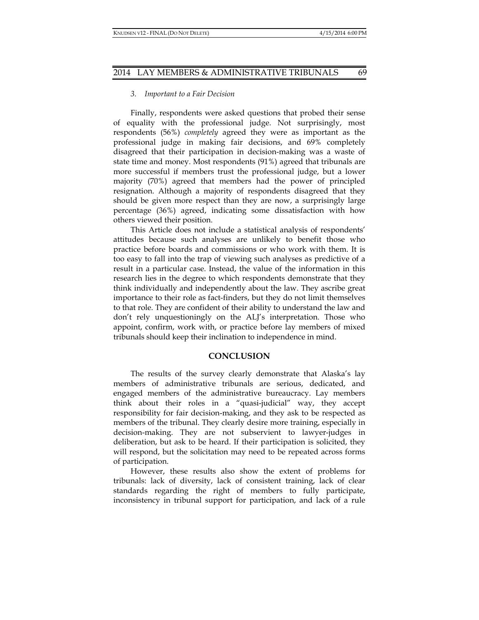#### *3. Important to a Fair Decision*

Finally, respondents were asked questions that probed their sense of equality with the professional judge. Not surprisingly, most respondents (56%) *completely* agreed they were as important as the professional judge in making fair decisions, and 69% completely disagreed that their participation in decision-making was a waste of state time and money. Most respondents (91%) agreed that tribunals are more successful if members trust the professional judge, but a lower majority (70%) agreed that members had the power of principled resignation. Although a majority of respondents disagreed that they should be given more respect than they are now, a surprisingly large percentage (36%) agreed, indicating some dissatisfaction with how others viewed their position.

This Article does not include a statistical analysis of respondents' attitudes because such analyses are unlikely to benefit those who practice before boards and commissions or who work with them. It is too easy to fall into the trap of viewing such analyses as predictive of a result in a particular case. Instead, the value of the information in this research lies in the degree to which respondents demonstrate that they think individually and independently about the law. They ascribe great importance to their role as fact-finders, but they do not limit themselves to that role. They are confident of their ability to understand the law and don't rely unquestioningly on the ALJ's interpretation. Those who appoint, confirm, work with, or practice before lay members of mixed tribunals should keep their inclination to independence in mind.

#### **CONCLUSION**

The results of the survey clearly demonstrate that Alaska's lay members of administrative tribunals are serious, dedicated, and engaged members of the administrative bureaucracy. Lay members think about their roles in a "quasi-judicial" way, they accept responsibility for fair decision-making, and they ask to be respected as members of the tribunal. They clearly desire more training, especially in decision-making. They are not subservient to lawyer-judges in deliberation, but ask to be heard. If their participation is solicited, they will respond, but the solicitation may need to be repeated across forms of participation.

However, these results also show the extent of problems for tribunals: lack of diversity, lack of consistent training, lack of clear standards regarding the right of members to fully participate, inconsistency in tribunal support for participation, and lack of a rule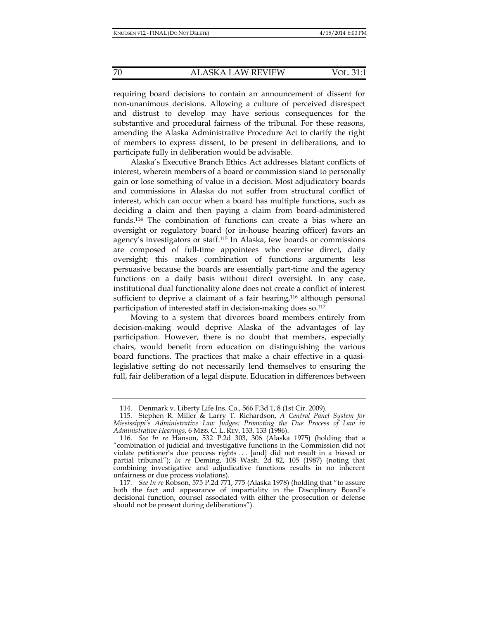requiring board decisions to contain an announcement of dissent for non-unanimous decisions. Allowing a culture of perceived disrespect and distrust to develop may have serious consequences for the substantive and procedural fairness of the tribunal. For these reasons, amending the Alaska Administrative Procedure Act to clarify the right of members to express dissent, to be present in deliberations, and to participate fully in deliberation would be advisable.

Alaska's Executive Branch Ethics Act addresses blatant conflicts of interest, wherein members of a board or commission stand to personally gain or lose something of value in a decision. Most adjudicatory boards and commissions in Alaska do not suffer from structural conflict of interest, which can occur when a board has multiple functions, such as deciding a claim and then paying a claim from board-administered funds.114 The combination of functions can create a bias where an oversight or regulatory board (or in-house hearing officer) favors an agency's investigators or staff.115 In Alaska, few boards or commissions are composed of full-time appointees who exercise direct, daily oversight; this makes combination of functions arguments less persuasive because the boards are essentially part-time and the agency functions on a daily basis without direct oversight. In any case, institutional dual functionality alone does not create a conflict of interest sufficient to deprive a claimant of a fair hearing,<sup>116</sup> although personal participation of interested staff in decision-making does so.<sup>117</sup>

Moving to a system that divorces board members entirely from decision-making would deprive Alaska of the advantages of lay participation. However, there is no doubt that members, especially chairs, would benefit from education on distinguishing the various board functions. The practices that make a chair effective in a quasilegislative setting do not necessarily lend themselves to ensuring the full, fair deliberation of a legal dispute. Education in differences between

 <sup>114.</sup> Denmark v. Liberty Life Ins. Co., 566 F.3d 1, 8 (1st Cir. 2009).

 <sup>115.</sup> Stephen R. Miller & Larry T. Richardson, *A Central Panel System for Mississippi's Administrative Law Judges: Promoting the Due Process of Law in Administrative Hearings*, 6 MISS. C. L. REV. 133, 133 (1986).

 <sup>116.</sup> *See In re* Hanson, 532 P.2d 303, 306 (Alaska 1975) (holding that a "combination of judicial and investigative functions in the Commission did not violate petitioner's due process rights . . . [and] did not result in a biased or partial tribunal"); *In re* Deming, 108 Wash. 2d 82, 105 (1987) (noting that combining investigative and adjudicative functions results in no inherent unfairness or due process violations).

<sup>117</sup>*. See In re* Robson, 575 P.2d 771, 775 (Alaska 1978) (holding that "to assure both the fact and appearance of impartiality in the Disciplinary Board's decisional function, counsel associated with either the prosecution or defense should not be present during deliberations").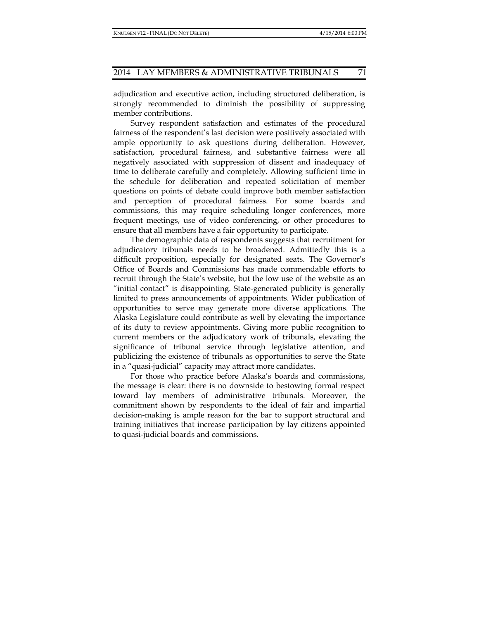adjudication and executive action, including structured deliberation, is strongly recommended to diminish the possibility of suppressing member contributions.

Survey respondent satisfaction and estimates of the procedural fairness of the respondent's last decision were positively associated with ample opportunity to ask questions during deliberation. However, satisfaction, procedural fairness, and substantive fairness were all negatively associated with suppression of dissent and inadequacy of time to deliberate carefully and completely. Allowing sufficient time in the schedule for deliberation and repeated solicitation of member questions on points of debate could improve both member satisfaction and perception of procedural fairness. For some boards and commissions, this may require scheduling longer conferences, more frequent meetings, use of video conferencing, or other procedures to ensure that all members have a fair opportunity to participate.

The demographic data of respondents suggests that recruitment for adjudicatory tribunals needs to be broadened. Admittedly this is a difficult proposition, especially for designated seats. The Governor's Office of Boards and Commissions has made commendable efforts to recruit through the State's website, but the low use of the website as an "initial contact" is disappointing. State-generated publicity is generally limited to press announcements of appointments. Wider publication of opportunities to serve may generate more diverse applications. The Alaska Legislature could contribute as well by elevating the importance of its duty to review appointments. Giving more public recognition to current members or the adjudicatory work of tribunals, elevating the significance of tribunal service through legislative attention, and publicizing the existence of tribunals as opportunities to serve the State in a "quasi-judicial" capacity may attract more candidates.

For those who practice before Alaska's boards and commissions, the message is clear: there is no downside to bestowing formal respect toward lay members of administrative tribunals. Moreover, the commitment shown by respondents to the ideal of fair and impartial decision-making is ample reason for the bar to support structural and training initiatives that increase participation by lay citizens appointed to quasi-judicial boards and commissions.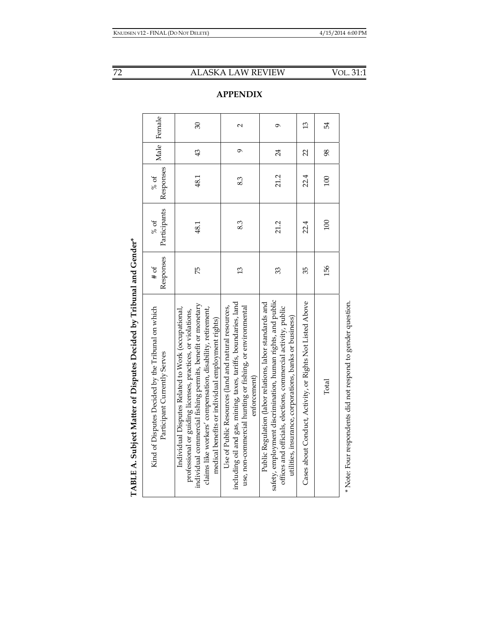| $\overline{\phantom{a}}$<br>、くらく |
|----------------------------------|
| ĺ<br><b>1</b><br>$\vdots$<br>I   |
|                                  |
| こくてくてく<br>$\frac{1}{2}$          |
| <br> <br> <br> <br>į<br>I        |
| i                                |
|                                  |
|                                  |
|                                  |
| TARIE A<br>l<br>j                |

| $\sim$<br>$\ddot{\phantom{0}}$<br>$\overline{\phantom{a}}$                                                                                                                                                                                                                                         |                             |                      |                   |                |             |
|----------------------------------------------------------------------------------------------------------------------------------------------------------------------------------------------------------------------------------------------------------------------------------------------------|-----------------------------|----------------------|-------------------|----------------|-------------|
| Kind of Disputes Decided by the Tribunal on which<br>Participant Currently Serves                                                                                                                                                                                                                  | Responses<br>$\frac{4}{10}$ | Participants<br>% of | Responses<br>% of |                | Male Female |
| individual commercial fishing permits, benefit or monetary<br>claims like workers' compensation, disability, retirement,<br>Individual Disputes Related to Work (occupational,<br>professional or guiding licenses, practices, or violations,<br>medical benefits or individual employment rights) | 75                          | 48.1                 | 48.1              | 43             | 30          |
| including oil and gas, mining, taxes, tariffs, boundaries, land<br>use, non-commercial hunting or fishing, or environmental<br>Use of Public Resources (land and natural resources,<br>enforcement)                                                                                                | $\mathfrak{L}$              | 8.3                  | 83                | $\sigma$       | $\sim$      |
| safety, employment discrimination, human rights, and public<br>Public Regulation (labor relations, labor standards and<br>offices and officials, elections, commercial activity, public<br>utilities, insurance, corporations, banks or business)                                                  | 33                          | 21.2                 | 21.2              | 24             | Ó           |
| Cases about Conduct, Activity, or Rights Not Listed Above                                                                                                                                                                                                                                          | 35                          | 22.4                 | 22.4              | $\overline{2}$ | 13          |
| Total                                                                                                                                                                                                                                                                                              | 156                         | 100                  | 100               | 98             | 54          |
|                                                                                                                                                                                                                                                                                                    |                             |                      |                   |                |             |

\* Note: Four respondents did not respond to gender question. \* Note: Four respondents did not respond to gender question.

# **APPENDIX**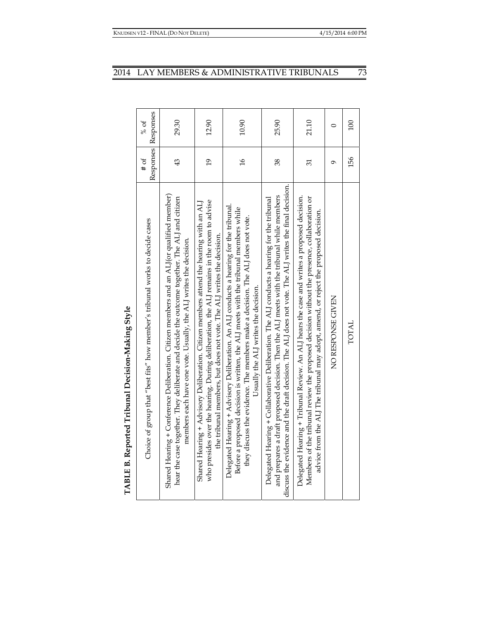|                                                  | Responses Responses<br>% of                                                  | 29.30                                                                                                                                                                                                                                                          | 12.90                                                                                                                                                                                                                                                        | 10.90                                                                                                                                                                                                                                                                                                    | 25.90                                                                                                                                                                                                                                                                                               | 21.10                                                                                                                                                                                                                                                                            | $\circ$           | 100   |
|--------------------------------------------------|------------------------------------------------------------------------------|----------------------------------------------------------------------------------------------------------------------------------------------------------------------------------------------------------------------------------------------------------------|--------------------------------------------------------------------------------------------------------------------------------------------------------------------------------------------------------------------------------------------------------------|----------------------------------------------------------------------------------------------------------------------------------------------------------------------------------------------------------------------------------------------------------------------------------------------------------|-----------------------------------------------------------------------------------------------------------------------------------------------------------------------------------------------------------------------------------------------------------------------------------------------------|----------------------------------------------------------------------------------------------------------------------------------------------------------------------------------------------------------------------------------------------------------------------------------|-------------------|-------|
|                                                  | $#$ of                                                                       | 43                                                                                                                                                                                                                                                             | $\overline{61}$                                                                                                                                                                                                                                              | $\frac{9}{1}$                                                                                                                                                                                                                                                                                            | 38                                                                                                                                                                                                                                                                                                  | 51                                                                                                                                                                                                                                                                               | Ó                 | 156   |
| TABLE B. Reported Tribunal Decision-Making Style | Choice of group that "best fits" how member's tribunal works to decide cases | Shared Hearing + Conference Deliberation. Citizen members and an ALI(or qualified member)<br>hear the case together. They deliberate and decide the outcome together. The ALJ and citizen<br>members each have one vote. Usually, the ALJ writes the decision. | who presides over the hearing. During deliberation, the ALJ remains in the room to advise<br>Shared Hearing + Advisory Deliberation. Citizen members attend the hearing with an AL]<br>the tribunal members, but does not vote. The ALJ writes the decision. | Delegated Hearing + Advisory Deliberation. An ALJ conducts a hearing for the tribunal.<br>Before a proposed decision is written, the ALJ meets with the tribunal members while<br>they discuss the evidence. The members make a decision. The ALJ does not vote.<br>Usually the ALJ writes the decision. | discuss the evidence and the draft decision. The ALJ does not vote. The ALJ writes the final decision.<br>and prepares a draft proposed decision. Then the ALJ meets with the tribunal while members<br>Delegated Hearing + Collaborative Deliberation. The ALJ conducts a hearing for the tribunal | Delegated Hearing + Tribunal Review. An ALJ hears the case and writes a proposed decision.<br>Members of the tribunal review the proposed decision without the presence, collaboration or<br>advice from the ALJ The tribunal may adopt, amend, or reject the proposed decision. | NO RESPONSE GIVEN | TOTAL |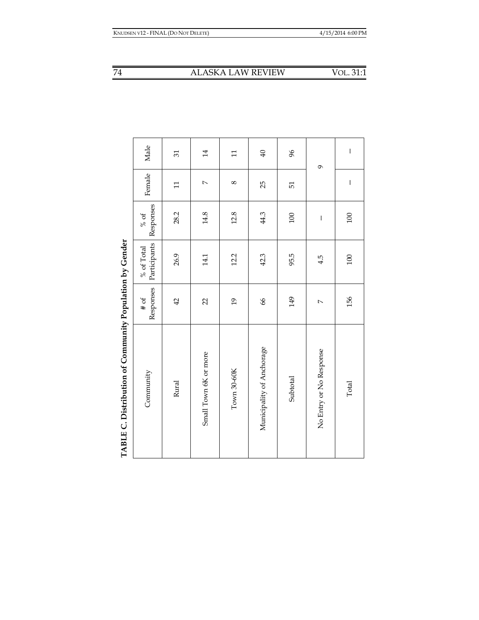| TABLE C. Distribution of Community Population by Gender |                   |                            |                   |                |                          |
|---------------------------------------------------------|-------------------|----------------------------|-------------------|----------------|--------------------------|
| Community                                               | Responses<br># of | Participants<br>% of Total | Responses<br>% of | Female         | Male                     |
| Rural                                                   | 42                | 26.9                       | 28.2              | $\Xi$          | 51                       |
| Small Town 6K or more                                   | $\overline{2}$    | 14.1                       | 14.8              | $\overline{a}$ | 14                       |
| Town 30-60K                                             | $\overline{0}$    | 12.2                       | 12.8              | $\infty$       | $\Xi$                    |
| Municipality of Anchorage                               | 66                | 42.3                       | 44.3              | 25             | $\overline{40}$          |
| Subtotal                                                | 149               | 95.5                       | 100               | 51             | 96                       |
| No Entry or No Response                                 | $\overline{a}$    | 4.5                        | $\mathsf I$       |                | 9                        |
| Total                                                   | 156               | 100                        | 100               | $\mathsf I$    | $\overline{\phantom{a}}$ |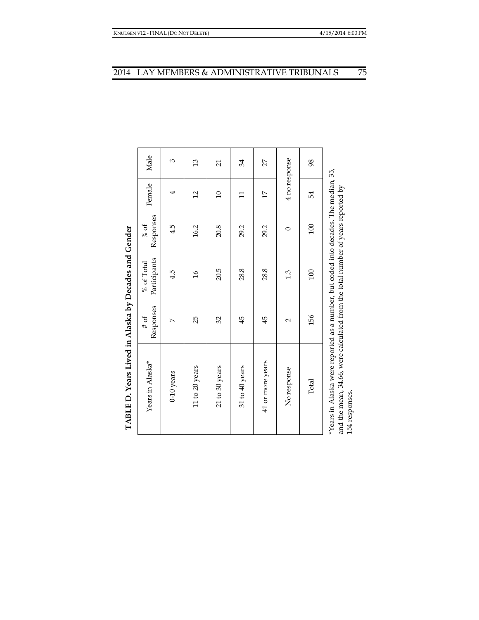| TABLE D. Years Lived in Alaska by Decades and Gender                                                                                                                                     |                     |                            |                   |                 |                |
|------------------------------------------------------------------------------------------------------------------------------------------------------------------------------------------|---------------------|----------------------------|-------------------|-----------------|----------------|
| Years in Alaska*                                                                                                                                                                         | Responses<br>$#$ of | Participants<br>% of Total | Responses<br>% of | Female          | Male           |
| $0-10$ years                                                                                                                                                                             | $\overline{a}$      | 4.5                        | 4.5               | 4               | 3              |
| 11 to 20 years                                                                                                                                                                           | 25                  | $\frac{9}{2}$              | 16.2              | $\overline{c}$  | $\mathfrak{L}$ |
| 21 to 30 years                                                                                                                                                                           | 32                  | 20.5                       | 20.8              | $\Omega$        | $\overline{c}$ |
| 31 to 40 years                                                                                                                                                                           | 45                  | 28.8                       | 29.2              | $\Xi$           | 34             |
| 41 or more years                                                                                                                                                                         | 45                  | 28.8                       | 29.2              | $\overline{17}$ | 27             |
| No response                                                                                                                                                                              | $\sim$              | 1.3                        | 0                 | 4 no response   |                |
| Total                                                                                                                                                                                    | 156                 | 100                        | 100               | 54              | 98             |
| *Years in Alaska were reported as a number, but coded into decades. The median, 35,<br>and the mean, 34.66, were calculated from the total number of years reported by<br>154 responses. |                     |                            |                   |                 |                |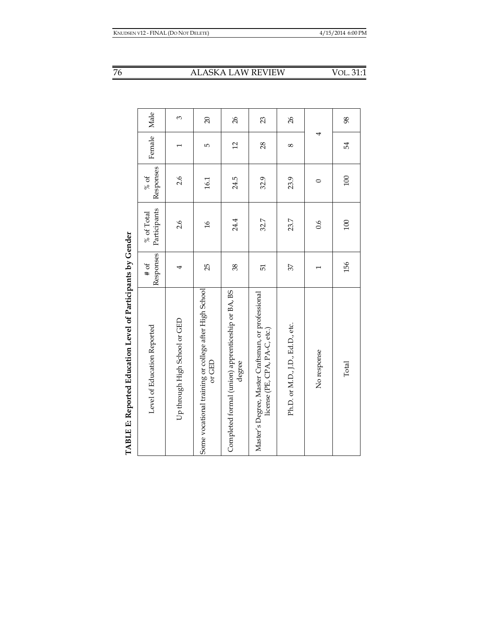| $\overline{\mathcal{L}}$ |
|--------------------------|
| ١                        |
| l                        |
|                          |
| i<br>I                   |
| I                        |
| l<br>ĺ                   |
|                          |
| -<br>-<br>-              |

| TABLE E: Reported Education Level of Participants by Gender                         |                   |                            |                   |            |                |
|-------------------------------------------------------------------------------------|-------------------|----------------------------|-------------------|------------|----------------|
| Level of Education Reported                                                         | Responses<br># of | Participants<br>% of Total | Responses<br>% of | Female     | Male           |
| Up through High School or GED                                                       | 4                 | 2.6                        | 2.6               |            | 3              |
| Some vocational training or college after High School<br>or GED                     | 25                | $\frac{91}{2}$             | 16.1              | Ю          | $\Omega$       |
| Completed formal (union) apprenticeship or BA, BS<br>degree                         | 38                | 24.4                       | 24.5              | 12         | 26             |
| Master's Degree, Master Craftsman, or professional<br>license (PE, CPA, PA-C, etc.) | 51                | 32.7                       | 32.9              | 28         | 23             |
| Ph.D. or M.D., J.D., Ed.D., etc.                                                    | 37                | 23.7                       | 23.9              | $^{\circ}$ | $\frac{26}{5}$ |
| No response                                                                         |                   | $\overline{0.6}$           | $\circ$           |            |                |
| Total                                                                               | 156               | 100                        | 100               | 54         | 98             |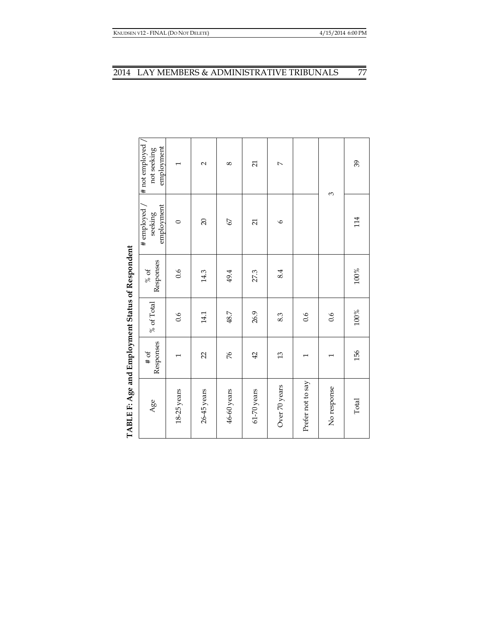| $#$ not employed /<br>employment<br>not seeking         | $\overline{\phantom{0}}$ | $\sim$      | 8           | $\overline{21}$ | $\overline{a}$ |                   | 3             | 39      |
|---------------------------------------------------------|--------------------------|-------------|-------------|-----------------|----------------|-------------------|---------------|---------|
| employment<br># employed<br>seeking                     | $\circ$                  | 20          | 67          | $\overline{21}$ | $\circ$        |                   |               | 114     |
| Responses<br>$\%$ of                                    | 0.6                      | 14.3        | 49.4        | 27.3            | 8.4            |                   |               | $100\%$ |
| $\%$ of Total                                           | 0.6                      | 14.1        | 48.7        | 26.9            | 8.3            | 0.6               | 0.6           | $100\%$ |
| Responses<br>$\#$ of                                    | $\overline{\phantom{0}}$ | 22          | 76          | 42              | $\mathfrak{L}$ | $\overline{ }$    | $\overline{}$ | 156     |
| TABLE F: Age and Employment Status of Respondent<br>Age | 18-25 years              | 26-45 years | 46-60 years | 61-70 years     | Over 70 years  | Prefer not to say | No response   | Total   |

TABLE F: Age and Employment Status of Respondent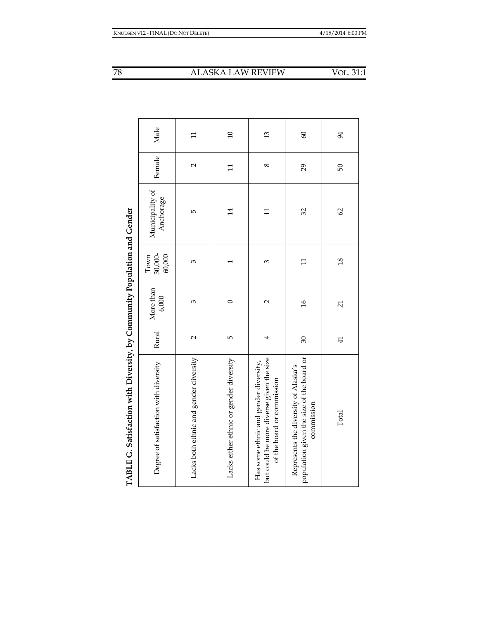| i<br>$\overline{\mathcal{L}}$ |
|-------------------------------|
| .<br>.<br>.                   |
| ı<br>i                        |
| Ι                             |
|                               |
| i                             |
|                               |
| ĺ                             |
| CALIDITIC CALL<br>l<br>l<br>ī |

| Male                                  | $\mathbf{1}$                           | $\overline{10}$                         | $\frac{3}{2}$                                                                                                   | 60                                                                                              | 94              |
|---------------------------------------|----------------------------------------|-----------------------------------------|-----------------------------------------------------------------------------------------------------------------|-------------------------------------------------------------------------------------------------|-----------------|
| Female                                | $\sim$                                 | $\mathbf{1}$                            | $\infty$                                                                                                        | 29                                                                                              | 50              |
| Municipality of<br>Anchorage          | Б                                      | $\overline{14}$                         | Ξ                                                                                                               | 32                                                                                              | 62              |
| 30,000-<br>60,000<br>Town             | 3                                      |                                         | 3                                                                                                               | $\Xi$                                                                                           | $\frac{8}{2}$   |
| More than<br>6,000                    | 3                                      | $\circ$                                 | 2                                                                                                               | $\frac{9}{2}$                                                                                   | $\overline{21}$ |
| Rural                                 | $\sim$                                 | LŊ                                      | 4                                                                                                               | $\overline{\mathrm{30}}$                                                                        | $\overline{4}$  |
| Degree of satisfaction with diversity | Lacks both ethnic and gender diversity | Lacks either ethnic or gender diversity | but could be more diverse given the size<br>Has some ethnic and gender diversity,<br>of the board or commission | population given the size of the board or<br>Represents the diversity of Alaska's<br>commission | Total           |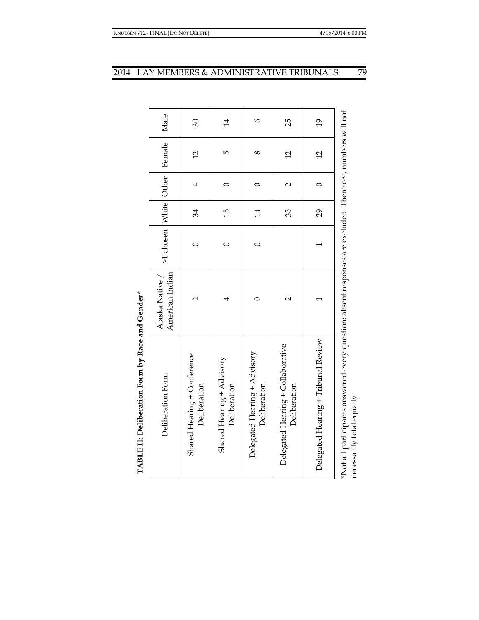| TABLE H: Deliberation Form by Race and Gender*                                                                                          |                                    |                       |                 |                   |                 |                 |
|-----------------------------------------------------------------------------------------------------------------------------------------|------------------------------------|-----------------------|-----------------|-------------------|-----------------|-----------------|
| Deliberation Form                                                                                                                       | American Indian<br>Alaska Native / | >1 chosen White Other |                 |                   | Female          | Male            |
| Shared Hearing + Conference<br>Deliberation                                                                                             | $\mathsf{C}$                       |                       | 34              | 4                 | $\overline{12}$ | 30              |
| Shared Hearing + Advisory<br>Deliberation                                                                                               | 4                                  |                       | $\overline{15}$ | 0                 | Б               | $\overline{14}$ |
| Delegated Hearing + Advisory<br>Deliberation                                                                                            |                                    |                       | $\overline{1}$  | 0                 | $\infty$        | $\circ$         |
| Delegated Hearing + Collaborative<br>Deliberation                                                                                       | $\mathbf{\sim}$                    |                       | 33              | $\mathbf{\Omega}$ | 12              | 25              |
| Delegated Hearing + Tribunal Review                                                                                                     |                                    |                       | 29              | 0                 | $\overline{c}$  | $\overline{61}$ |
| *Not all participants answered every question; absent responses are excluded. Therefore, numbers will not<br>necessarily total equally. |                                    |                       |                 |                   |                 |                 |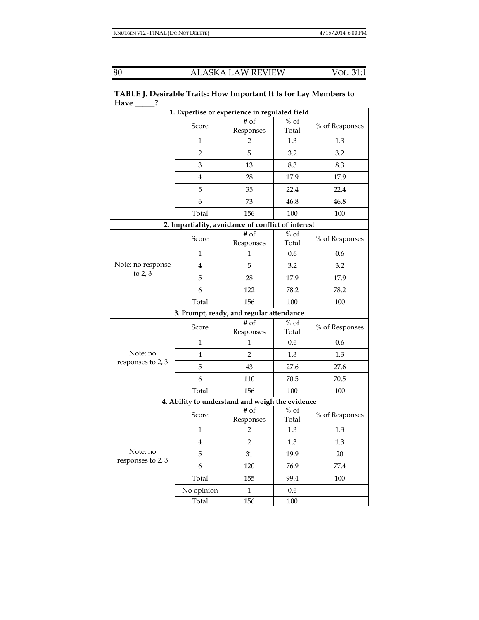|                                | 1. Expertise or experience in regulated field      |                                      |                            |                |
|--------------------------------|----------------------------------------------------|--------------------------------------|----------------------------|----------------|
|                                | Score                                              | $#$ of<br>Responses                  | $%$ of<br>Total            | % of Responses |
|                                | 1                                                  | 2                                    | 1.3                        | 1.3            |
|                                | $\overline{2}$                                     | 5                                    | 3.2                        | 3.2            |
|                                | 3                                                  | 13                                   | 8.3                        | 8.3            |
|                                | 4                                                  | 28                                   | 17.9                       | 17.9           |
|                                | 5                                                  | 35                                   | 22.4                       | 22.4           |
|                                | 6                                                  | 73                                   | 46.8                       | 46.8           |
|                                | Total                                              | 156                                  | 100                        | 100            |
|                                | 2. Impartiality, avoidance of conflict of interest |                                      |                            |                |
|                                | Score                                              | $\overline{\# \circ f}$<br>Responses | $\frac{1}{\%}$ of<br>Total | % of Responses |
| Note: no response<br>to $2, 3$ | $\mathbf 1$                                        | 1                                    | 0.6                        | 0.6            |
|                                | 4                                                  | 5                                    | 3.2                        | 3.2            |
|                                | 5                                                  | 28                                   | 17.9                       | 17.9           |
|                                | 6                                                  | 122                                  | 78.2                       | 78.2           |
|                                | Total                                              | 156                                  | 100                        | 100            |
|                                | 3. Prompt, ready, and regular attendance           |                                      |                            |                |
|                                | Score                                              | # of<br>Responses                    | $%$ of<br>Total            | % of Responses |
|                                | $\mathbf 1$                                        | $\mathbf 1$                          | 0.6                        | 0.6            |
| Note: no                       | 4                                                  | $\overline{2}$                       | 1.3                        | 1.3            |
| responses to 2, 3              | 5                                                  | 43                                   | 27.6                       | 27.6           |
|                                | 6                                                  | 110                                  | 70.5                       | 70.5           |
|                                | Total                                              | 156                                  | 100                        | 100            |
|                                | 4. Ability to understand and weigh the evidence    |                                      |                            |                |
|                                | Score                                              | $#$ of<br>Responses                  | $%$ of<br>Total            | % of Responses |
|                                | 1                                                  | $\overline{2}$                       | 1.3                        | 1.3            |
|                                | $\overline{4}$                                     | $\overline{2}$                       | 1.3                        | 1.3            |
| Note: no                       | 5                                                  | 31                                   | 19.9                       | 20             |
| responses to 2, 3              | 6                                                  | 120                                  | 76.9                       | 77.4           |
|                                | Total                                              | 155                                  | 99.4                       | 100            |
|                                | No opinion                                         | 1                                    | 0.6                        |                |
|                                | Total                                              | 156                                  | 100                        |                |

**TABLE J. Desirable Traits: How Important It Is for Lay Members to Have \_\_\_\_\_?**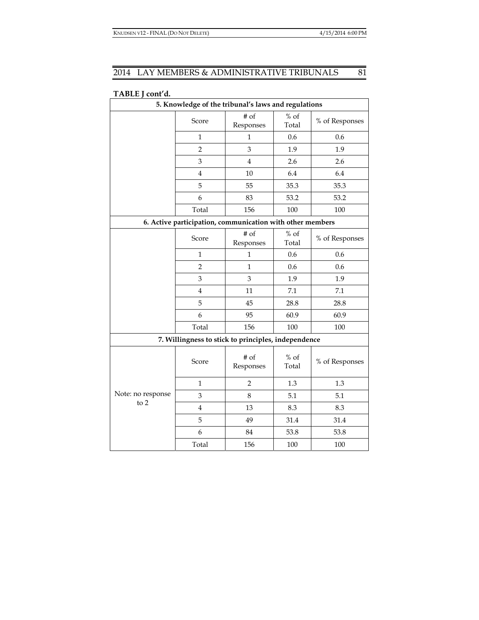| 5. Knowledge of the tribunal's laws and regulations       |                |                   |                 |                |  |  |
|-----------------------------------------------------------|----------------|-------------------|-----------------|----------------|--|--|
|                                                           | Score          | # of<br>Responses | $%$ of<br>Total | % of Responses |  |  |
|                                                           | $\mathbf{1}$   | $\mathbf 1$       | 0.6             | 0.6            |  |  |
|                                                           | $\overline{2}$ | 3                 | 1.9             | 1.9            |  |  |
|                                                           | 3              | $\overline{4}$    | 2.6             | 2.6            |  |  |
|                                                           | $\bf 4$        | 10                | 6.4             | 6.4            |  |  |
|                                                           | 5              | 55                | 35.3            | 35.3           |  |  |
|                                                           | 6              | 83                | 53.2            | 53.2           |  |  |
|                                                           | Total          | 156               | 100             | 100            |  |  |
| 6. Active participation, communication with other members |                |                   |                 |                |  |  |
|                                                           | Score          | # of<br>Responses | $%$ of<br>Total | % of Responses |  |  |
|                                                           | $\mathbf{1}$   | 1                 | 0.6             | 0.6            |  |  |
|                                                           | $\overline{2}$ | $\mathbf{1}$      | 0.6             | 0.6            |  |  |
|                                                           | 3              | 3                 | 1.9             | 1.9            |  |  |
|                                                           | $\overline{4}$ | 11                | 7.1             | 7.1            |  |  |
|                                                           | 5              | 45                | 28.8            | 28.8           |  |  |
|                                                           | 6              | 95                | 60.9            | 60.9           |  |  |
|                                                           | Total          | 156               | 100             | 100            |  |  |
| 7. Willingness to stick to principles, independence       |                |                   |                 |                |  |  |
| Note: no response<br>to $2$                               | Score          | # of<br>Responses | $%$ of<br>Total | % of Responses |  |  |
|                                                           | $\mathbf{1}$   | 2                 | 1.3             | 1.3            |  |  |
|                                                           | 3              | 8                 | 5.1             | 5.1            |  |  |
|                                                           | $\bf 4$        | 13                | 8.3             | 8.3            |  |  |
|                                                           | 5              | 49                | 31.4            | 31.4           |  |  |
|                                                           | 6              | 84                | 53.8            | 53.8           |  |  |
|                                                           | Total          | 156               | 100             | 100            |  |  |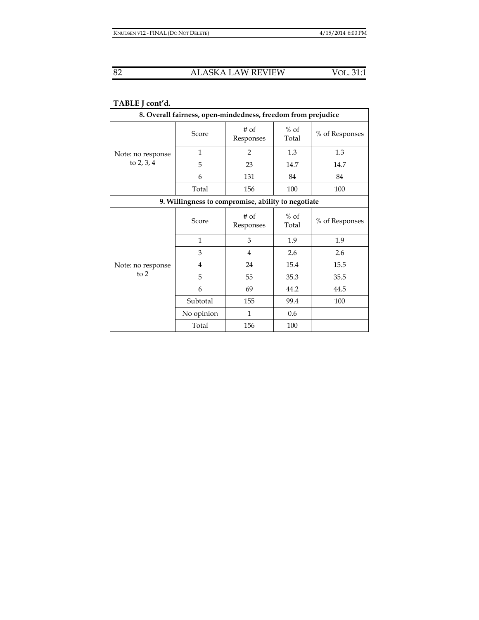| 8. Overall fairness, open-mindedness, freedom from prejudice |            |                     |                 |                |  |  |  |
|--------------------------------------------------------------|------------|---------------------|-----------------|----------------|--|--|--|
| Note: no response<br>to $2, 3, 4$                            | Score      | $#$ of<br>Responses | $%$ of<br>Total | % of Responses |  |  |  |
|                                                              | 1          | $\overline{2}$      | 1.3             | 1.3            |  |  |  |
|                                                              | 5          | 23                  | 14.7            | 14.7           |  |  |  |
|                                                              | 6          | 131                 | 84              | 84             |  |  |  |
|                                                              | Total      | 156                 | 100             | 100            |  |  |  |
| 9. Willingness to compromise, ability to negotiate           |            |                     |                 |                |  |  |  |
| Note: no response<br>to $2$                                  | Score      | # of<br>Responses   | $%$ of<br>Total | % of Responses |  |  |  |
|                                                              | 1          | 3                   | 1.9             | 1.9            |  |  |  |
|                                                              | 3          | 4                   | 2.6             | 2.6            |  |  |  |
|                                                              | 4          | 24                  | 15.4            | 15.5           |  |  |  |
|                                                              | 5          | 55                  | 35.3            | 35.5           |  |  |  |
|                                                              | 6          | 69                  | 44.2            | 44.5           |  |  |  |
|                                                              | Subtotal   | 155                 | 99.4            | 100            |  |  |  |
|                                                              | No opinion | $\mathbf{1}$        | 0.6             |                |  |  |  |
|                                                              | Total      | 156                 | 100             |                |  |  |  |

# **TABLE J cont'd.**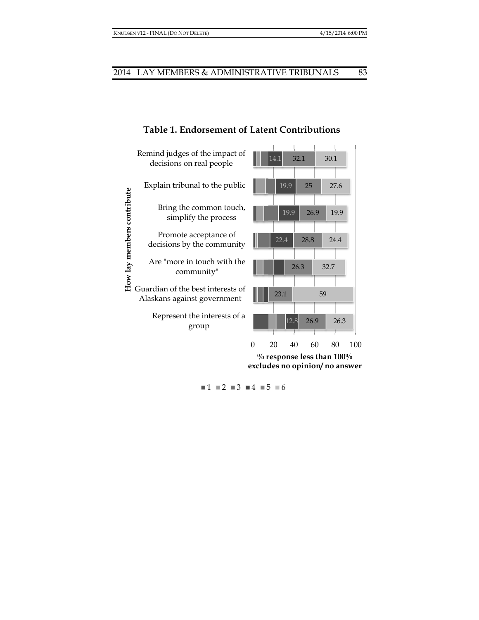

# **Table 1. Endorseme ent of Late nt Contrib utions**

 $1 \equiv 2 \equiv 3 \equiv 4 \equiv 5 \equiv 6$ 

83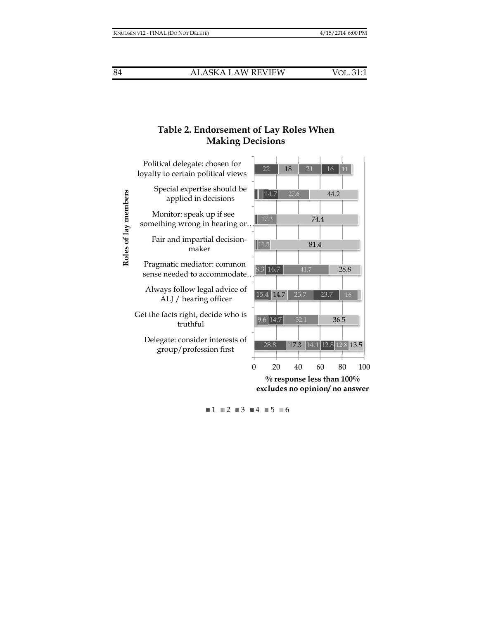# **Table e 2. Endors ement of L Lay Roles W When Mak king Decisi ions**



 $1 \equiv 2 \equiv 3 \equiv 4 \equiv 5 \equiv 6$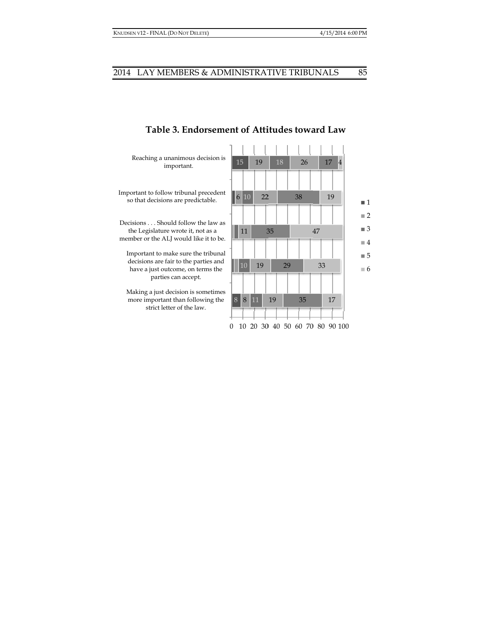

## **Table 3. . Endorsem ment of Atti itudes towa ard Law**